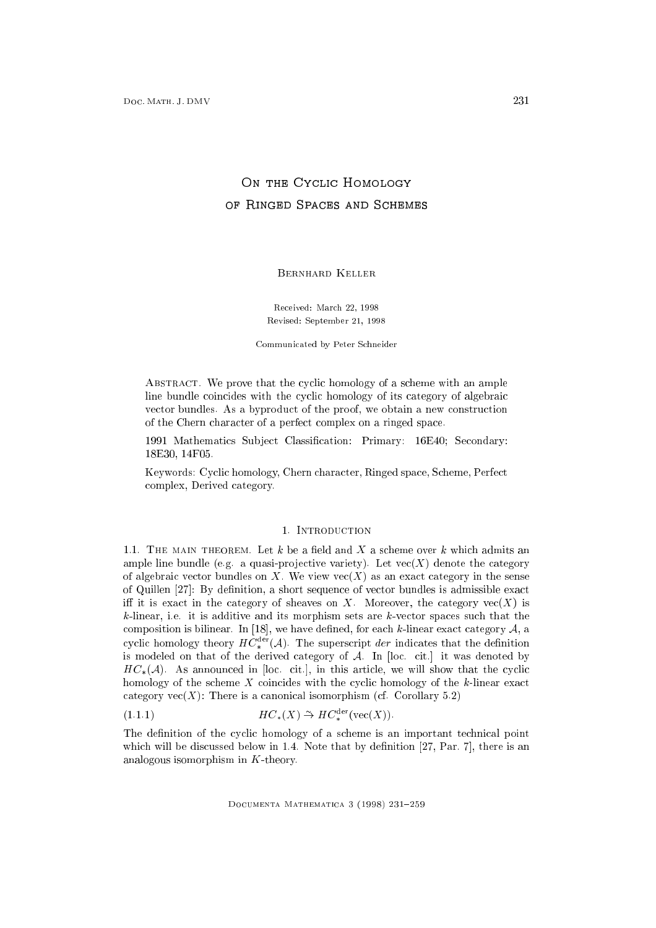# of Ringed Spaces and Schemes

Bernhard Keller

Received: March 22, <sup>1998</sup> Revised: September 21, <sup>1998</sup>

Communicated by Peter Schneider

ABSTRACT. We prove that the cyclic homology of a scheme with an ample line bundle coincides with the cyclic homology of its category of algebraic vector bundles. As a byproduct of the proof, we obtain a new construction of the Chern character of a perfect complex on a ringed space.

1991 Mathematics Subject Classification: Primary: 16E40; Secondary: 18E30, 14F05.

Keywords: Cyclic homology, Chern character, Ringed space, Scheme, Perfect complex, Derived category.

## 1. Introduction

1.1. THE MAIN THEOREM. Let  $k$  be a field and  $X$  a scheme over  $k$  which admits an ample line bundle (e.g. a quasi-projective variety). Let  $vec(X)$  denote the category of algebraic vector bundles on X. We view  $\text{vec}(X)$  as an exact category in the sense of Quillen  $[27]$ : By definition, a short sequence of vector bundles is admissible exact iff it is exact in the category of sheaves on X. Moreover, the category  $\text{vec}(X)$  is  $k$ -linear, i.e. it is additive and its morphism sets are  $k$ -vector spaces such that the composition is bilinear. In [18], we have defined, for each  $k$ -linear exact category  $A$ , a cyclic homology theory  $HC_*^{\sim}(A)$ . The superscript der indicates that the definition is modeled on that of the derived category of  $A$ . In [loc. cit.] it was denoted by  $HC_*(\mathcal{A})$ . As announced in [loc. cit.], in this article, we will show that the cyclic homology of the scheme  $X$  coincides with the cyclic homology of the  $k$ -linear exact category  $vec(X)$ : There is a canonical isomorphism (cf. Corollary 5.2)

$$
(1.1.1) \t H C_*(X) \stackrel{\sim}{\to} H C_*^{\text{der}}(\text{vec}(X)).
$$

The definition of the cyclic homology of a scheme is an important technical point which will be discussed below in  $1.4$ . Note that by definition [27, Par. 7], there is an analogous isomorphism in K-theory.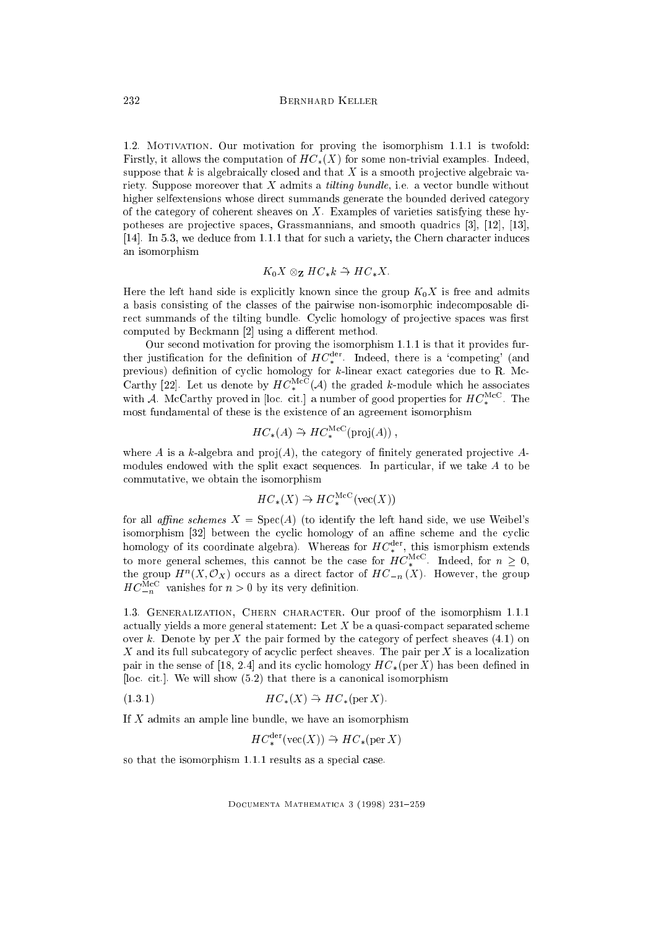1.2. MOTIVATION. Our motivation for proving the isomorphism 1.1.1 is twofold: Firstly, it allows the computation of  $HC_*(X)$  for some non-trivial examples. Indeed, suppose that k is algebraically closed and that X is a smooth projective algebraic variety. Suppose moreover that  $X$  admits a *tilting bundle*, i.e. a vector bundle without higher selfextensions whose direct summands generate the bounded derived category of the category of coherent sheaves on  $X$ . Examples of varieties satisfying these hypotheses are pro jective spaces, Grassmannians, and smooth quadrics [3], [12], [13], [14]. In 5.3, we deduce from 1.1.1 that for such a variety, the Chern character induces an isomorphism

$$
K_0 X \otimes_{\mathbf{Z}} H C_* k \xrightarrow{\sim} H C_* X.
$$

Here the left hand side is explicitly known since the group  $K_0X$  is free and admits a basis consisting of the classes of the pairwise non-isomorphic indecomposable direct summands of the tilting bundle. Cyclic homology of projective spaces was first computed by Beckmann  $[2]$  using a different method.

ther justification for the definition of  $HC_*^{\text{der}}$ . Indeed, there is a 'competing' (and previous) denition of cyclic homology for k-linear exact categories due to R. Mc-Carthy [22]. Let us denote by  $HC_*^{++}(A)$  the graded k-module which he associates with A. McCarthy proved in [loc. cit.] a number of good properties for  $HC_*^{++-}$ . The most fundamental of these is the existence of an agreement isomorphism

$$
HC_*(A) \stackrel{\sim}{\rightarrow} HC_*^{\text{McC}}(\text{proj}(A)),
$$

where A is a k-algebra and  $proj(A)$ , the category of finitely generated projective Amodules endowed with the split exact sequences. In particular, if we take A to be commutative, we obtain the isomorphism

$$
HC_*(X) \stackrel{\sim}{\rightarrow} HC_*^{\text{McC}}(\text{vec}(X))
$$

for all affine schemes  $X = \text{Spec}(A)$  (to identify the left hand side, we use Weibel's isomorphism [32] between the cyclic homology of an affine scheme and the cyclic homology of its coordinate algebra). Whereas for  $H C_*^{++}$ , this ismorphism extends to more general schemes, this cannot be the case for  $H\subsetneq^+$  . Indeed, for  $n\geq 0,$ the group  $H^-(A, \mathcal{O}y)$  occurs as a direct factor of  $H\mathcal{O}_{-n}(A)$ . However, the group  $HC_{n}^{++}$  vanishes for  $n > 0$  by its very definition.

1.3. Generalization, Chern character. Our proof of the isomorphism 1.1.1 actually yields a more general statement: Let  $X$  be a quasi-compact separated scheme over k. Denote by per X the pair formed by the category of perfect sheaves  $(4.1)$  on X and its full subcategory of acyclic perfect sheaves. The pair per X is a localization pair in the sense of [18, 2.4] and its cyclic homology  $HC_*(\text{per } X)$  has been defined in [ $loc.$  cit.]. We will show  $(5.2)$  that there is a canonical isomorphism

$$
(1.3.1) \t H C_*(X) \stackrel{\sim}{\to} H C_*(\text{per } X).
$$

If  $X$  admits an ample line bundle, we have an isomorphism

$$
HC_*^{\text{der}}(\text{vec}(X)) \stackrel{\sim}{\rightarrow} HC_*(\text{per } X)
$$

so that the isomorphism 1.1.1 results as a special case.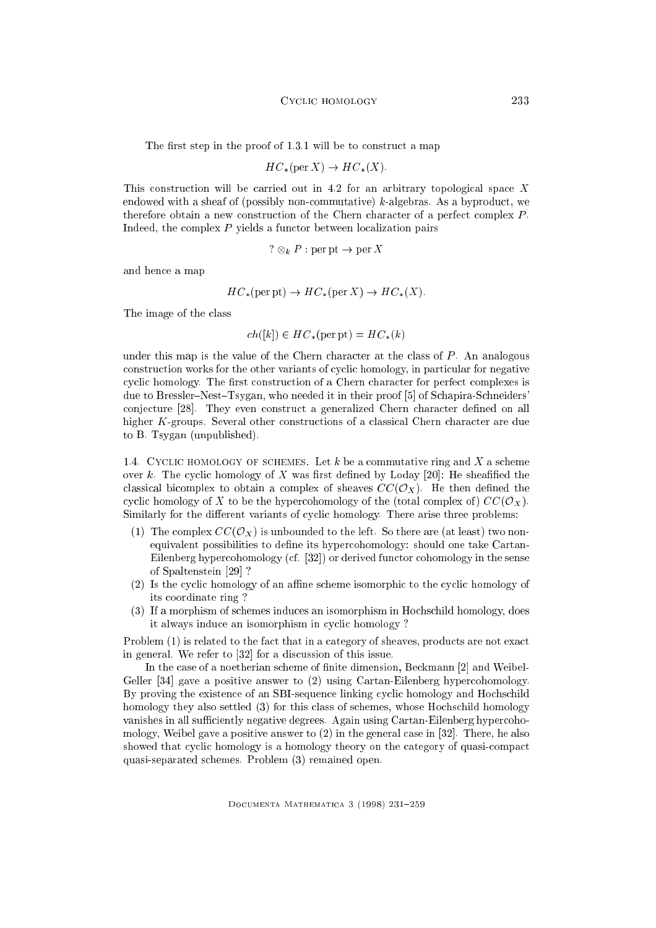The first step in the proof of  $1.3.1$  will be to construct a map

$$
HC_*(\text{per } X) \to HC_*(X).
$$

This construction will be carried out in 4.2 for an arbitrary topological space X endowed with a sheaf of (possibly non-commutative)  $k$ -algebras. As a byproduct, we therefore obtain a new construction of the Chern character of a perfect complex  $P$ . Indeed, the complex  $P$  yields a functor between localization pairs

$$
? \otimes_k P : \text{per pt} \to \text{per } X
$$

and hence a map

$$
HC_*(\text{per pt}) \to HC_*(\text{per }X) \to HC_*(X).
$$

The image of the class

$$
ch([k]) \in HC_*(\text{per pt}) = HC_*(k)
$$

under this map is the value of the Chern character at the class of  $P$ . An analogous construction works for the other variants of cyclic homology, in particular for negative cyclic homology. The first construction of a Chern character for perfect complexes is due to Bressler-Nest-Tsygan, who needed it in their proof [5] of Schapira-Schneiders' conjecture [28]. They even construct a generalized Chern character defined on all higher K-groups. Several other constructions of a classical Chern character are due to B. Tsygan (unpublished).

1.4. CYCLIC HOMOLOGY OF SCHEMES. Let  $k$  be a commutative ring and  $X$  a scheme over  $k$ . The cyclic homology of  $X$  was first defined by Loday [20]: He sheafified the classical bicomplex to obtain a complex of sheaves  $CC(\mathcal{O}_X)$ . He then defined the cyclic homology of X to be the hypercohomology of the (total complex of)  $CC(\mathcal{O}_X)$ . Similarly for the different variants of cyclic homology. There arise three problems:

- (1) The complex  $CC(\mathcal{O}_X)$  is unbounded to the left. So there are (at least) two nonequivalent possibilities to define its hypercohomology: should one take Cartan-Eilenberg hypercohomology (cf. [32]) or derived functor cohomology in the sense of Spaltenstein [29] ?
- $(2)$  Is the cyclic homology of an affine scheme isomorphic to the cyclic homology of its coordinate ring ?
- (3) If a morphism of schemes induces an isomorphism in Hochschild homology, does it always induce an isomorphism in cyclic homology ?

Problem (1) is related to the fact that in a category of sheaves, products are not exact in general. We refer to [32] for a discussion of this issue.

In the case of a noetherian scheme of finite dimension, Beckmann [2] and Weibel-Geller [34] gave a positive answer to (2) using Cartan-Eilenberg hypercohomology. By proving the existence of an SBI-sequence linking cyclic homology and Hochschild homology they also settled (3) for this class of schemes, whose Hochschild homology vanishes in all sufficiently negative degrees. Again using Cartan-Eilenberg hypercohomology, Weibel gave a positive answer to (2) in the general case in [32]. There, he also showed that cyclic homology is a homology theory on the category of quasi-compact quasi-separated schemes. Problem (3) remained open.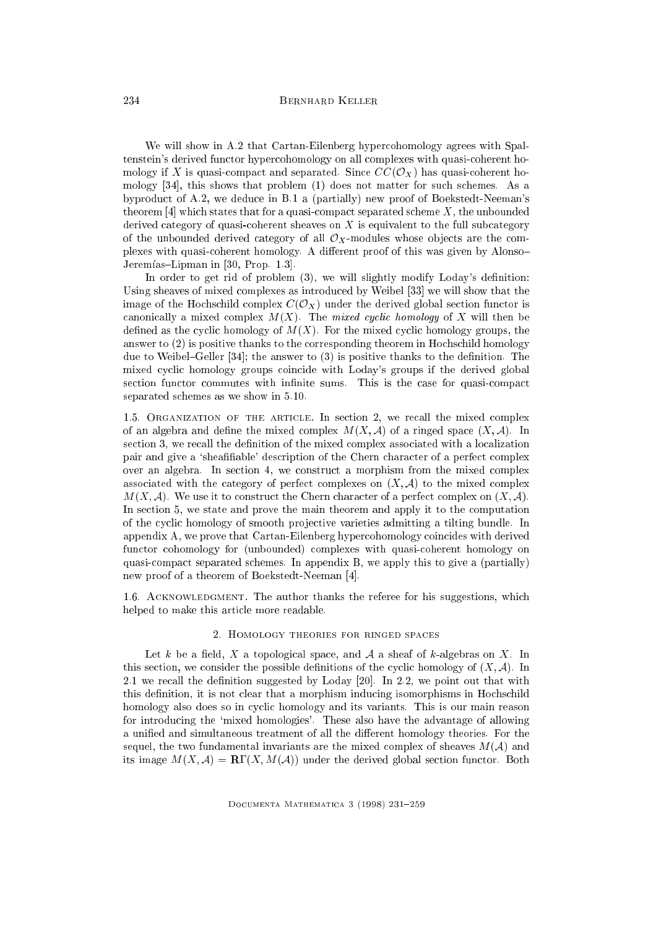### 234 Bernhard Keller

We will show in A.2 that Cartan-Eilenberg hypercohomology agrees with Spaltenstein's derived functor hypercohomology on all complexes with quasi-coherent homology if X is quasi-compact and separated. Since  $CC(\mathcal{O}_X)$  has quasi-coherent homology [34], this shows that problem (1) does not matter for such schemes. As a byproduct of A.2, we deduce in B.1 a (partially) new proof of Boekstedt-Neeman's theorem  $[4]$  which states that for a quasi-compact separated scheme  $X$ , the unbounded derived category of quasi-coherent sheaves on  $X$  is equivalent to the full subcategory of the unbounded derived category of all  $\mathcal{O}_X$ -modules whose objects are the complexes with quasi-coherent homology. A different proof of this was given by Alonso-Jeremías-Lipman in [30, Prop. 1.3].

In order to get rid of problem (3), we will slightly modify Loday's definition: Using sheaves of mixed complexes as introduced by Weibel [33] we will show that the image of the Hochschild complex  $C(\mathcal{O}_X)$  under the derived global section functor is canonically a mixed complex  $M(X)$ . The mixed cyclic homology of X will then be defined as the cyclic homology of  $M(X)$ . For the mixed cyclic homology groups, the answer to (2) is positive thanks to the corresponding theorem in Hochschild homology due to Weibel-Geller  $[34]$ ; the answer to  $(3)$  is positive thanks to the definition. The mixed cyclic homology groups coincide with Loday's groups if the derived global section functor commutes with infinite sums. This is the case for quasi-compact separated schemes as we show in 5.10.

1.5. Organization of the article. In section 2, we recall the mixed complex of an algebra and define the mixed complex  $M(X, \mathcal{A})$  of a ringed space  $(X, \mathcal{A})$ . In section 3, we recall the definition of the mixed complex associated with a localization pair and give a 'sheafifiable' description of the Chern character of a perfect complex over an algebra. In section 4, we construct a morphism from the mixed complex associated with the category of perfect complexes on  $(X, \mathcal{A})$  to the mixed complex  $M(X, \mathcal{A})$ . We use it to construct the Chern character of a perfect complex on  $(X, \mathcal{A})$ . In section 5, we state and prove the main theorem and apply it to the computation of the cyclic homology of smooth pro jective varieties admitting a tilting bundle. In appendix A, we prove that Cartan-Eilenberg hypercohomology coincides with derived functor cohomology for (unbounded) complexes with quasi-coherent homology on quasi-compact separated schemes. In appendix B, we apply this to give a (partially) new proof of a theorem of Boekstedt-Neeman [4].

1.6. ACKNOWLEDGMENT. The author thanks the referee for his suggestions, which helped to make this article more readable.

## 2. Homology theories for ringed spaces

Let k be a field, X a topological space, and A a sheaf of k-algebras on X. In this section, we consider the possible definitions of the cyclic homology of  $(X, \mathcal{A})$ . In 2.1 we recall the definition suggested by Loday  $[20]$ . In 2.2, we point out that with this definition, it is not clear that a morphism inducing isomorphisms in Hochschild homology also does so in cyclic homology and its variants. This is our main reason for introducing the `mixed homologies'. These also have the advantage of allowing a unified and simultaneous treatment of all the different homology theories. For the sequel, the two fundamental invariants are the mixed complex of sheaves  $M(\mathcal{A})$  and its image  $M(X, \mathcal{A}) = \mathbf{R}\Gamma(X, M(\mathcal{A}))$  under the derived global section functor. Both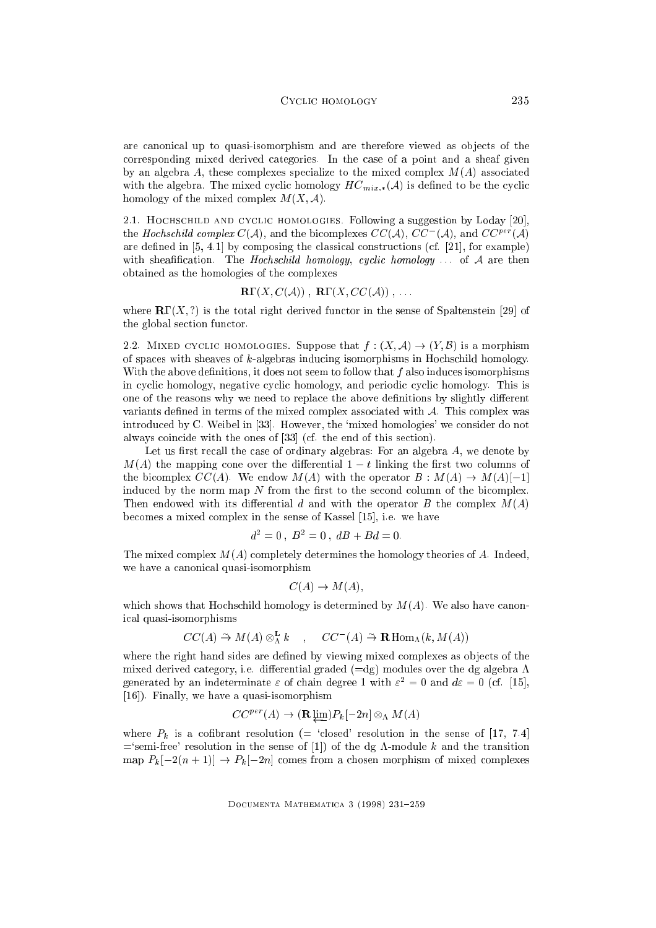are canonical up to quasi-isomorphism and are therefore viewed as ob jects of the corresponding mixed derived categories. In the case of a point and a sheaf given by an algebra A, these complexes specialize to the mixed complex  $M(A)$  associated with the algebra. The mixed cyclic homology  $HC_{mix}(A)$  is defined to be the cyclic homology of the mixed complex  $M(X, \mathcal{A})$ .

2.1. Hochschild and cyclic homologies. Following a suggestion by Loday [20], the *Hochschild complex* C(A), and the bicomplexes CC(A), CC (A), and CC<sup>per</sup> (A) are defined in  $[5, 4.1]$  by composing the classical constructions (cf.  $[21]$ , for example) with sheafification. The Hochschild homology, cyclic homology  $\dots$  of A are then obtained as the homologies of the complexes

$$
\mathbf{R}\Gamma(X, C(\mathcal{A})) , \ \mathbf{R}\Gamma(X, CC(\mathcal{A})), \ \ldots
$$

where  $\mathbf{R}\Gamma(X,?)$  is the total right derived functor in the sense of Spaltenstein [29] of the global section functor.

2.2. MIXED CYCLIC HOMOLOGIES. Suppose that  $f : (X, \mathcal{A}) \to (Y, \mathcal{B})$  is a morphism of spaces with sheaves of k-algebras inducing isomorphisms in Hochschild homology. With the above definitions, it does not seem to follow that  $f$  also induces isomorphisms in cyclic homology, negative cyclic homology, and periodic cyclic homology. This is one of the reasons why we need to replace the above definitions by slightly different variants defined in terms of the mixed complex associated with  $A$ . This complex was introduced by C. Weibel in [33]. However, the `mixed homologies' we consider do not always coincide with the ones of [33] (cf. the end of this section).

Let us first recall the case of ordinary algebras: For an algebra  $A$ , we denote by  $M(A)$  the mapping cone over the differential  $1-t$  linking the first two columns of the bicomplex  $CC(A)$ . We endow  $M(A)$  with the operator  $B : M(A) \rightarrow M(A)[-1]$ induced by the norm map  $N$  from the first to the second column of the bicomplex. Then endowed with its differential d and with the operator B the complex  $M(A)$ becomes a mixed complex in the sense of Kassel [15], i.e. we have

$$
d^2 = 0 \, , \, B^2 = 0 \, , \, dB + Bd = 0.
$$

The mixed complex  $M(A)$  completely determines the homology theories of A. Indeed, we have a canonical quasi-isomorphism

$$
C(A) \to M(A),
$$

which shows that Hochschild homology is determined by  $M(A)$ . We also have canonical quasi-isomorphisms

$$
CC(A) \stackrel{\sim}{\rightarrow} M(A) \otimes^{\mathbf{L}}_{\Lambda} k \quad , \quad CC^{-}(A) \stackrel{\sim}{\rightarrow} \mathbf{R} \operatorname{Hom}_{\Lambda}(k, M(A))
$$

where the right hand sides are defined by viewing mixed complexes as objects of the mixed derived category, i.e. differential graded  $(=dg)$  modules over the dg algebra  $\Lambda$ generated by an indeterminate  $\varepsilon$  or chain degree 1 with  $\varepsilon^- = 0$  and  $a \varepsilon = 0$  (cf. [15], [16]). Finally, we have a quasi-isomorphism

$$
CC^{per}(A) \to (\mathbf{R}\downarrow\underline{\mathbf{m}})P_k[-2n] \otimes_\Lambda M(A)
$$

where  $P_k$  is a cofibrant resolution (= 'closed' resolution in the sense of [17, 7.4] ='semi-free' resolution in the sense of [1]) of the dg  $\Lambda$ -module k and the transition map  $P_k[-2(n + 1)] \rightarrow P_k[-2n]$  comes from a chosen morphism of mixed complexes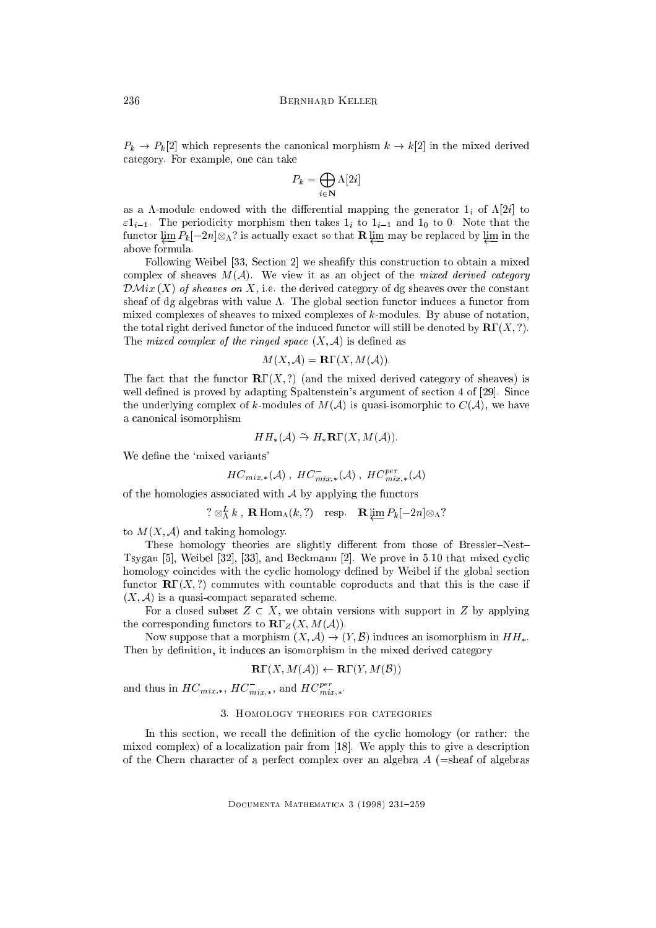$P_k \to P_k[2]$  which represents the canonical morphism  $k \to k[2]$  in the mixed derived category. For example, one can take

$$
P_k = \bigoplus_{i \in \mathbf{N}} \Lambda[2i]
$$

as a  $\Lambda$ -module endowed with the differential mapping the generator  $1_i$  of  $\Lambda[2i]$  to  $\varepsilon 1_{i-1}$ . The periodicity morphism then takes  $1_i$  to  $1_{i-1}$  and  $1_0$  to 0. Note that the  $\overline{a}$  is actually exact so that  $\overline{a}$  is actually exact so that  $\overline{a}$  is a so that  $\overline{a}$ above formula.

Following Weibel [33, Section 2] we sheafy this construction to obtain a mixed complex of sheaves  $M(\mathcal{A})$ . We view it as an object of the *mixed derived category*  $\mathcal{DM}ix\left(X\right)$  of sheaves on X, i.e. the derived category of dg sheaves over the constant sheaf of dg algebras with value  $\Lambda$ . The global section functor induces a functor from mixed complexes of sheaves to mixed complexes of k-modules. By abuse of notation, the total right derived functor of the induced functor will still be denoted by  $\mathbf{R}\Gamma(X, ?)$ . The mixed complex of the ringed space  $(X, \mathcal{A})$  is defined as

$$
M(X, \mathcal{A}) = \mathbf{R}\Gamma(X, M(\mathcal{A})).
$$

The fact that the functor  $\mathbf{R}\Gamma(X,?)$  (and the mixed derived category of sheaves) is well defined is proved by adapting Spaltenstein's argument of section 4 of [29]. Since the underlying complex of k-modules of  $M(\mathcal{A})$  is quasi-isomorphic to  $C(\mathcal{A})$ , we have a canonical isomorphism

$$
HH_*(\mathcal{A}) \stackrel{\sim}{\rightarrow} H_*\mathbf{R}\Gamma(X, M(\mathcal{A})).
$$

We define the 'mixed variants'

$$
HC_{mix,*}({\cal A})\ ,\ HC_{mix,*}^-(\cal A)\ ,\ HC_{mix,*}^{per}({\cal A})
$$

of the homologies associated with  $A$  by applying the functors

$$
? \otimes_{\Lambda}^{L} k
$$
, **R** Hom <sub>$\Lambda$</sub> (k,?) resp. **R**  $\varprojlim P_k[-2n] \otimes_{\Lambda}$ ?

to  $M(X, \mathcal{A})$  and taking homology.

These homology theories are slightly different from those of Bressler-Nest-Tsygan [5], Weibel [32], [33], and Beckmann [2]. We prove in 5.10 that mixed cyclic homology coincides with the cyclic homology defined by Weibel if the global section functor  $\mathbf{R}\Gamma(X,?)$  commutes with countable coproducts and that this is the case if  $(X, \mathcal{A})$  is a quasi-compact separated scheme.

For a closed subset  $Z \subset X$ , we obtain versions with support in Z by applying the corresponding functors to  $\mathbf{R}\Gamma_Z(X, M(\mathcal{A}))$ .

Now suppose that a morphism  $(X, \mathcal{A}) \to (Y, \mathcal{B})$  induces an isomorphism in  $HH_*$ . Then by definition, it induces an isomorphism in the mixed derived category

$$
\mathbf{R}\Gamma(X, M(\mathcal{A})) \leftarrow \mathbf{R}\Gamma(Y, M(\mathcal{B}))
$$

and thus in  $HC_{mix,*}, \, HC_{mix,*}, \,$  and  $HC_{mix,*}^F$ .

## 3. Homology theories for categories

In this section, we recall the definition of the cyclic homology (or rather: the mixed complex) of a localization pair from [18]. We apply this to give a description of the Chern character of a perfect complex over an algebra  $A$  (=sheaf of algebras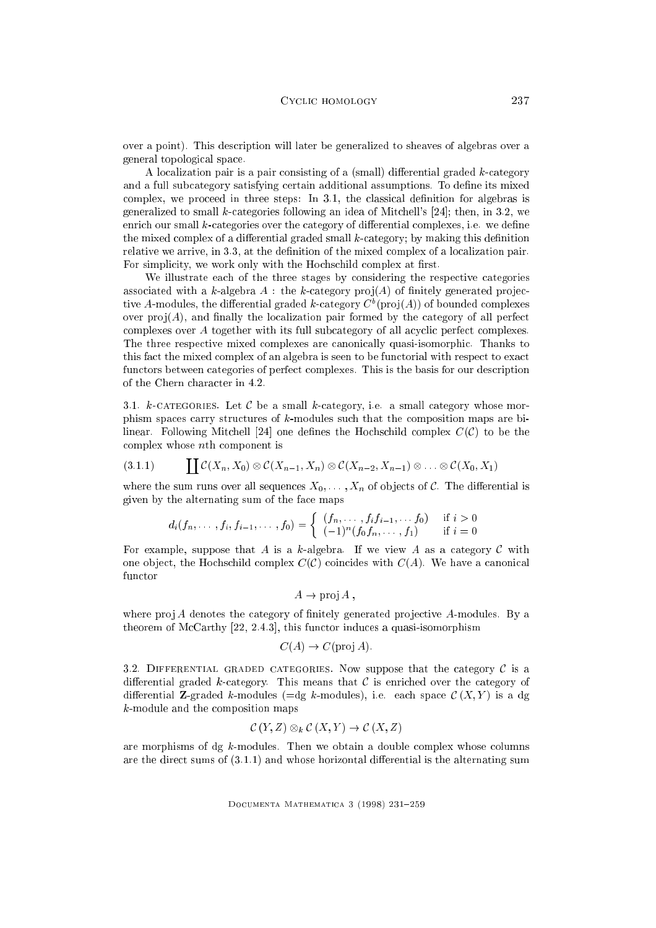over a point). This description will later be generalized to sheaves of algebras over a general topological space.

A localization pair is a pair consisting of a (small) differential graded  $k$ -category and a full subcategory satisfying certain additional assumptions. To define its mixed  $complex, we proceed in three steps: In 3.1, the classical definition for algebras is$ generalized to small  $k$ -categories following an idea of Mitchell's [24]; then, in 3.2, we enrich our small  $k$ -categories over the category of differential complexes, i.e. we define the mixed complex of a differential graded small  $k$ -category; by making this definition relative we arrive, in 3.3, at the definition of the mixed complex of a localization pair. For simplicity, we work only with the Hochschild complex at first.

We illustrate each of the three stages by considering the respective categories associated with a k-algebra  $A$ : the k-category proj $(A)$  of finitely generated projective A-modules, the differential graded  $\kappa$ -category  $C$  (prof(A)) of bounded complexes over  $proj(A)$ , and finally the localization pair formed by the category of all perfect complexes over A together with its full subcategory of all acyclic perfect complexes. The three respective mixed complexes are canonically quasi-isomorphic. Thanks to this fact the mixed complex of an algebra is seen to be functorial with respect to exact functors between categories of perfect complexes. This is the basis for our description of the Chern character in 4.2.

3.1. k-categories. Let  $\mathcal C$  be a small k-category, i.e. a small category whose morphism spaces carry structures of k-modules such that the composition maps are bilinear. Following Mitchell [24] one defines the Hochschild complex  $C(\mathcal{C})$  to be the complex whose nth component is

$$
(3.1.1) \qquad \coprod \mathcal{C}(X_n,X_0) \otimes \mathcal{C}(X_{n-1},X_n) \otimes \mathcal{C}(X_{n-2},X_{n-1}) \otimes \ldots \otimes \mathcal{C}(X_0,X_1)
$$

where the sum runs over all sequences  $X_0, \ldots, X_n$  of objects of C. The differential is given by the alternating sum of the face maps

$$
d_i(f_n, \ldots, f_i, f_{i-1}, \ldots, f_0) = \begin{cases} (f_n, \ldots, f_i f_{i-1}, \ldots, f_0) & \text{if } i > 0 \\ (-1)^n (f_0 f_n, \ldots, f_1) & \text{if } i = 0 \end{cases}
$$

For example, suppose that A is a k-algebra. If we view A as a category C with one object, the Hochschild complex  $C(\mathcal{C})$  coincides with  $C(A)$ . We have a canonical

$$
A \rightarrow \text{proj } A
$$
,

where  $proj A$  denotes the category of finitely generated projective A-modules. By a theorem of McCarthy [22, 2.4.3], this functor induces a quasi-isomorphism

$$
C(A) \rightarrow C
$$
(proj A).

3.2. DIFFERENTIAL GRADED CATEGORIES. Now suppose that the category  $\mathcal C$  is a differential graded k-category. This means that  $\mathcal C$  is enriched over the category of differential **Z**-graded k-modules ( $=$ dg k-modules), i.e. each space  $\mathcal{C}(X, Y)$  is a dg k-module and the composition maps

$$
\mathcal{C}(Y,Z)\otimes_k \mathcal{C}(X,Y)\to \mathcal{C}(X,Z)
$$

are morphisms of dg  $k$ -modules. Then we obtain a double complex whose columns are the direct sums of  $(3.1.1)$  and whose horizontal differential is the alternating sum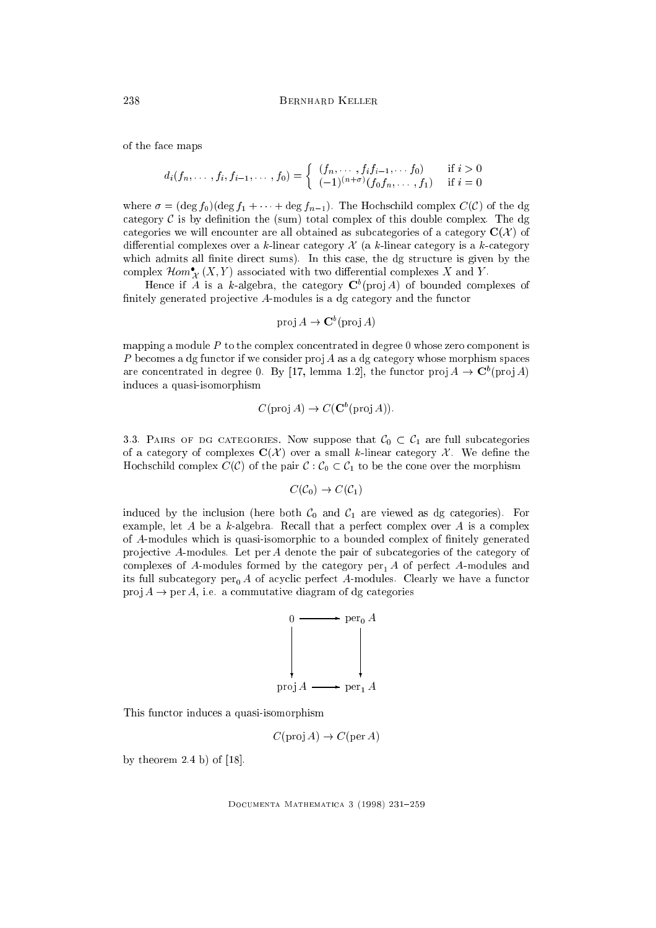of the face maps

$$
d_i(f_n, \ldots, f_i, f_{i-1}, \ldots, f_0) = \begin{cases} (f_n, \ldots, f_i f_{i-1}, \ldots, f_0) & \text{if } i > 0 \\ (-1)^{(n+\sigma)} (f_0 f_n, \ldots, f_1) & \text{if } i = 0 \end{cases}
$$

where  $\sigma = (\deg f_0)(\deg f_1 + \cdots + \deg f_{n-1})$ . The Hochschild complex  $C(\mathcal{C})$  of the dg category  $\mathcal C$  is by definition the (sum) total complex of this double complex. The dg categories we will encounter are all obtained as subcategories of a category  $\mathbf{C}(\mathcal{X})$  of differential complexes over a k-linear category  $\mathcal X$  (a k-linear category is a k-category which admits all finite direct sums). In this case, the dg structure is given by the complex  $Hom_{\mathcal{X}}(X, Y)$  associated with two differential complexes  $X$  and  $Y$ .

Hence if A is a k-algebra, the category  $C^{\dagger}$  (pro  $A$ ) of bounded complexes of finitely generated projective  $A$ -modules is a dg category and the functor

$$
\operatorname{proj} A \to \mathbf{C}^b(\operatorname{proj} A)
$$

mapping a module  $P$  to the complex concentrated in degree 0 whose zero component is P becomes a dg functor if we consider proj A as a dg category whose morphism spaces are concentrated in degree 0. By  $[17, 100]$  and  $[12]$ , the functor pro $[A] \rightarrow C$  (pro $[A]$ induces a quasi-isomorphism

$$
C
$$
(proj  $A$ )  $\rightarrow$   $C$ ( $\mathbb{C}^b$ (proj  $A$ )).

3.3. PAIRS OF DG CATEGORIES. Now suppose that  $C_0 \subset C_1$  are full subcategories of a category of complexes  $\mathbf{C}(\mathcal{X})$  over a small k-linear category  $\mathcal{X}$ . We define the Hochschild complex  $C(\mathcal{C})$  of the pair  $\mathcal{C} : \mathcal{C}_0 \subset \mathcal{C}_1$  to be the cone over the morphism

$$
C(\mathcal{C}_0) \to C(\mathcal{C}_1)
$$

induced by the inclusion (here both  $C_0$  and  $C_1$  are viewed as dg categories). For example, let A be a k-algebra. Recall that a perfect complex over A is a complex of A-modules which is quasi-isomorphic to a bounded complex of nitely generated projective A-modules. Let  $per A$  denote the pair of subcategories of the category of complexes of A-modules formed by the category per<sub>1</sub> A of perfect A-modules and its full subcategory  $per_0 A$  of acyclic perfect A-modules. Clearly we have a functor proj  $A \rightarrow$  per A, i.e. a commutative diagram of dg categories



This functor induces a quasi-isomorphism

 $C(\text{proj } A) \rightarrow C(\text{per } A)$ 

by theorem  $2.4$  b) of  $[18]$ .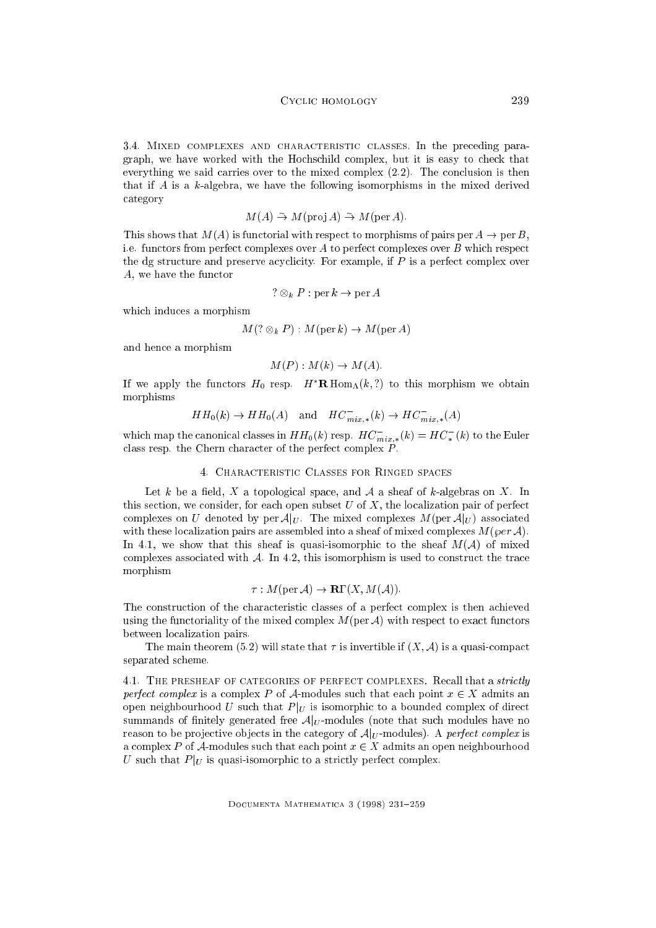3.4. Mixed complexes and characteristic classes. In the preceding paragraph, we have worked with the Hochschild complex, but it is easy to check that everything we said carries over to the mixed complex (2.2). The conclusion is then that if A is a k-algebra, we have the following isomorphisms in the mixed derived category

$$
M(A) \stackrel{\sim}{\rightarrow} M(\text{proj }A) \stackrel{\sim}{\rightarrow} M(\text{per }A).
$$

This shows that  $M(A)$  is functorial with respect to morphisms of pairs per  $A \rightarrow$  per B, i.e. functors from perfect complexes over  $A$  to perfect complexes over  $B$  which respect the dg structure and preserve acyclicity. For example, if  $P$  is a perfect complex over A, we have the functor

$$
? \otimes_k P : \text{per } k \to \text{per } A
$$

which induces a morphism

$$
M(? \otimes_k P) : M(\text{per } k) \to M(\text{per } A)
$$

and hence a morphism

$$
M(P): M(k) \to M(A).
$$

If we apply the functors  $H_0$  resp.  $H^*{\bf R}$  Hom<sub>A</sub>(k,?) to this morphism we obtain morphisms

$$
HH_0(k) \to HH_0(A) \quad \text{and} \quad HC_{mix,*}^-(k) \to HC_{mix,*}^-(A)
$$

which map the canonical classes in  $H H_0(k)$  resp.  $H C_{mix,*}(k) = H C_* (k)$  to the Euler class resp. the Chern character of the perfect complex  $\vec{P}$ .

#### 4. Characteristic Classes for Ringed spaces

Let k be a field, X a topological space, and A a sheaf of k-algebras on X. In this section, we consider, for each open subset  $U$  of  $X$ , the localization pair of perfect complexes on U denoted by per  $\mathcal{A}|_U$ . The mixed complexes  $M(\text{per } \mathcal{A}|_U)$  associated with these localization pairs are assembled into a sheaf of mixed complexes  $M(\varphi e r \mathcal{A})$ . In 4.1, we show that this sheaf is quasi-isomorphic to the sheaf  $M(\mathcal{A})$  of mixed complexes associated with  $\mathcal{A}$ . In 4.2, this isomorphism is used to construct the trace morphism

$$
\tau: M(\text{per } \mathcal{A}) \to \mathbf{R}\Gamma(X, M(\mathcal{A})).
$$

The construction of the characteristic classes of a perfect complex is then achieved using the functoriality of the mixed complex  $M(\text{per } \mathcal{A})$  with respect to exact functors between localization pairs.

The main theorem (5.2) will state that  $\tau$  is invertible if  $(X, \mathcal{A})$  is a quasi-compact separated scheme.

4.1. THE PRESHEAF OF CATEGORIES OF PERFECT COMPLEXES. Recall that a *strictly* perfect complex is a complex P of A-modules such that each point  $x \in X$  admits an open neighbourhood U such that  $P|_U$  is isomorphic to a bounded complex of direct summands of finitely generated free  $A|_U$ -modules (note that such modules have no reason to be projective objects in the category of  $\mathcal{A}|_{U}$ -modules). A perfect complex is a complex P of A-modules such that each point  $x \in X$  admits an open neighbourhood U such that  $P|_U$  is quasi-isomorphic to a strictly perfect complex.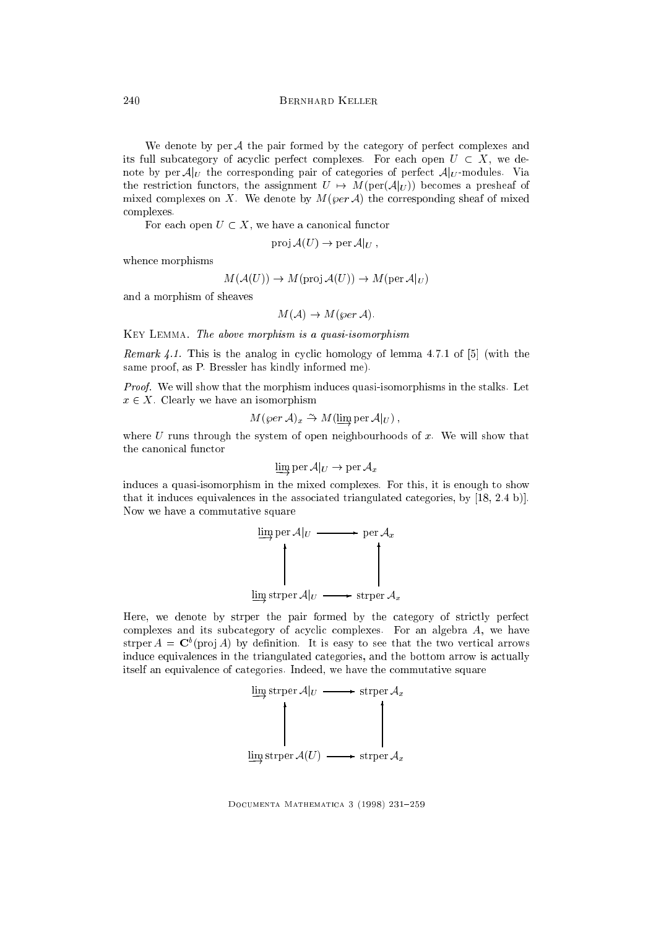We denote by per  $A$  the pair formed by the category of perfect complexes and its full subcategory of acyclic perfect complexes. For each open  $U \subset X$ , we denote by per  $A|_U$  the corresponding pair of categories of perfect  $A|_U$ -modules. Via the restriction functors, the assignment  $U \rightarrow M(\text{per}(\mathcal{A}|_U))$  becomes a presheaf of mixed complexes on X. We denote by  $M(\varphi e r \mathcal{A})$  the corresponding sheaf of mixed complexes.

For each open  $U \subset X$ , we have a canonical functor

$$
\operatorname{proj} \mathcal{A}(U) \to \operatorname{per} \mathcal{A}|_U,
$$

whence morphisms

$$
M(\mathcal{A}(U)) \to M(\text{proj}\,\mathcal{A}(U)) \to M(\text{per}\,\mathcal{A}|_U)
$$

and a morphism of sheaves

$$
M(\mathcal{A}) \to M(\varphi e r \mathcal{A}).
$$

Key Lemma. The above morphism is a quasi-isomorphism

Remark 4.1. This is the analog in cyclic homology of lemma 4.7.1 of  $[5]$  (with the same proof, as P. Bressler has kindly informed me).

Proof. We will show that the morphism induces quasi-isomorphisms in the stalks. Let  $x \in X$ . Clearly we have an isomorphism

$$
M(\varphi e r \mathcal{A})_x \stackrel{\sim}{\rightarrow} M(\varinjlim \mathrm{per} \mathcal{A}|_U) ,
$$

where  $U$  runs through the system of open neighbourhoods of  $x$ . We will show that the canonical functor

$$
\varinjlim \operatorname{per} \mathcal{A}|_U \to \operatorname{per} \mathcal{A}_x
$$

induces a quasi-isomorphism in the mixed complexes. For this, it is enough to show that it induces equivalences in the associated triangulated categories, by [18, 2.4 b)]. Now we have a commutative square



Here, we denote by strper the pair formed by the category of strictly perfect complexes and its subcategory of acyclic complexes. For an algebra A, we have strper  $A = \cup$  (pro  $A$ ) by definition. It is easy to see that the two vertical arrows induce equivalences in the triangulated categories, and the bottom arrow is actually itself an equivalence of categories. Indeed, we have the commutative square

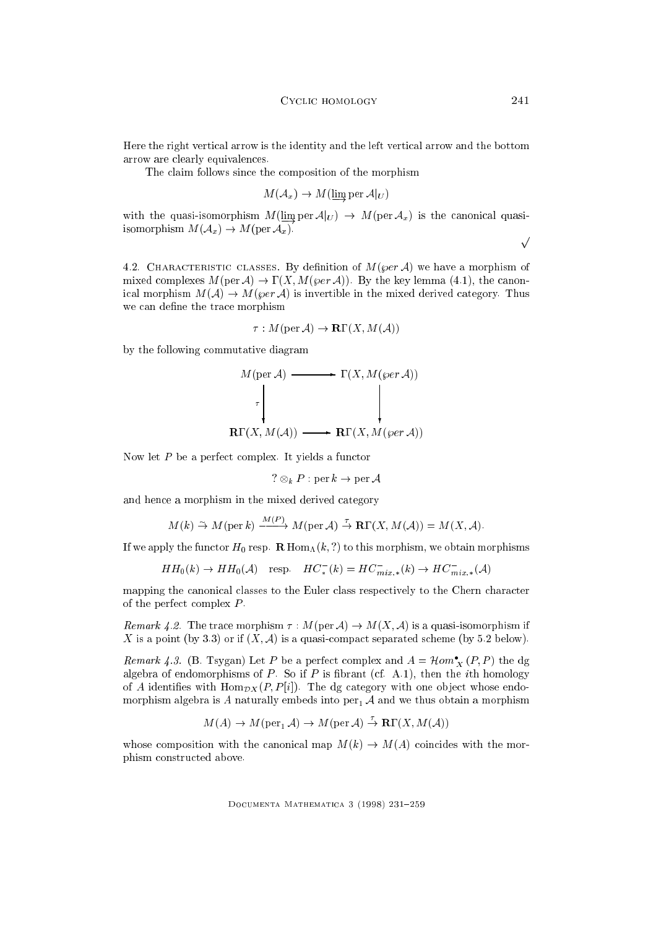Here the right vertical arrow is the identity and the left vertical arrow and the bottom arrow are clearly equivalences.

The claim follows since the composition of the morphism

$$
M(\mathcal{A}_x) \to M(\varinjlim \text{per } \mathcal{A}|_U)
$$

with the quasi-isomorphism  $M(\lim_{\varepsilon} \text{per } \mathcal{A}|_U) \rightarrow M(\text{per } \mathcal{A}_x)$  is the canonical quasiisomorphism  $M(\mathcal{A}_x) \to M(\text{per } \mathcal{A}_x)$ .

 $\sqrt{ }$ 

4.2. CHARACTERISTIC CLASSES. By definition of  $M(\varphi e r \mathcal{A})$  we have a morphism of mixed complexes  $M(\text{per } \mathcal{A}) \to \Gamma(X, M(\text{per } \mathcal{A}))$ . By the key lemma (4.1), the canonical morphism  $M(\mathcal{A}) \to M(\varphi e r \mathcal{A})$  is invertible in the mixed derived category. Thus we can define the trace morphism

$$
\tau: M(\text{per } \mathcal{A}) \to \mathbf{R}\Gamma(X, M(\mathcal{A}))
$$

by the following commutative diagram

$$
M(\text{per } A) \longrightarrow \Gamma(X, M(\text{per } A))
$$
\n
$$
\uparrow \qquad \qquad \downarrow
$$
\n
$$
\mathbf{R}\Gamma(X, M(A)) \longrightarrow \mathbf{R}\Gamma(X, M(\text{per } A))
$$

Now let  $P$  be a perfect complex. It yields a functor

? 
$$
\otimes_k P : \text{per } k \to \text{per } \mathcal{A}
$$

and hence a morphism in the mixed derived category

$$
M(k) \stackrel{\sim}{\rightarrow} M(\text{per } k) \xrightarrow{M(P)} M(\text{per } A) \stackrel{\tau}{\rightarrow} \mathbf{R}\Gamma(X, M(A)) = M(X, A).
$$

If we apply the functor  $H_0$  resp. R  $\text{Hom}_{\Lambda}(k,?)$  to this morphism, we obtain morphisms

$$
HH_0(k) \to HH_0(\mathcal{A}) \quad \text{resp.} \quad HC_*^-(k) = HC_{mix,*}^-(k) \to HC_{mix,*}^-(\mathcal{A})
$$

mapping the canonical classes to the Euler class respectively to the Chern character of the perfect complex P .

Remark 4.2. The trace morphism  $\tau : M(\text{per } \mathcal{A}) \to M(X, \mathcal{A})$  is a quasi-isomorphism if X is a point (by 3.3) or if  $(X, \mathcal{A})$  is a quasi-compact separated scheme (by 5.2 below).

*Remark 4.3.* (B. Isygan) Let P be a perfect complex and  $A = \text{Hom}_X(P, P)$  the dg algebra of endomorphisms of P. So if P is fibrant (cf. A.1), then the *i*th homology of A identifies with  $\text{Hom}_{\mathcal{D}X}(P, P[i])$ . The dg category with one object whose endomorphism algebra is A naturally embeds into  $per_1 A$  and we thus obtain a morphism

$$
M(A) \to M(\text{per}_1 A) \to M(\text{per } A) \stackrel{\tau}{\to} \mathbf{R}\Gamma(X, M(A))
$$

whose composition with the canonical map  $M(k) \to M(A)$  coincides with the morphism constructed above.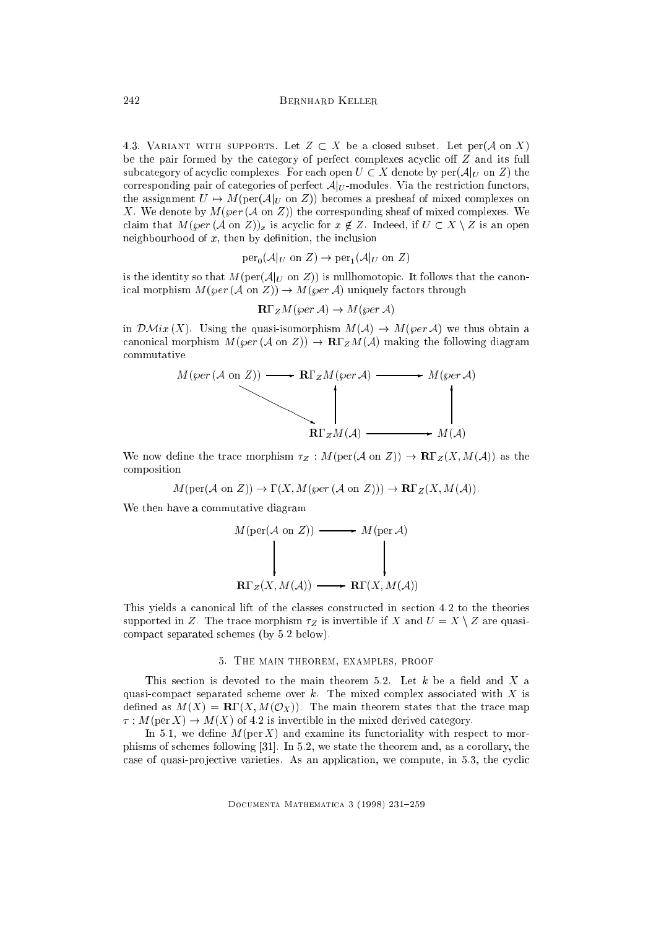4.3. VARIANT WITH SUPPORTS. Let  $Z \subset X$  be a closed subset. Let per(A on X) be the pair formed by the category of perfect complexes acyclic off  $Z$  and its full subcategory of acyclic complexes. For each open  $U \subset X$  denote by  $\text{per}(\mathcal{A}|_U)$  on  $Z$ ) the corresponding pair of categories of perfect  $A|_U$ -modules. Via the restriction functors, the assignment  $U \mapsto M(\text{per}(\mathcal{A}|_U \text{ on } Z))$  becomes a presheaf of mixed complexes on X. We denote by  $M(\varphi e r (A \text{ on } Z))$  the corresponding sheaf of mixed complexes. We claim that  $M(\varphi e r (\mathcal{A} \text{ on } \mathbb{Z}))_x$  is acyclic for  $x \notin \mathbb{Z}$ . Indeed, if  $U \subset X \setminus \mathbb{Z}$  is an open neighbourhood of  $x$ , then by definition, the inclusion

$$
\operatorname{per}_0(\mathcal{A}|_U \text{ on } Z) \to \operatorname{per}_1(\mathcal{A}|_U \text{ on } Z)
$$

is the identity so that  $M(\text{per}(\mathcal{A}|_U \text{ on } Z))$  is nullhomotopic. It follows that the canonical morphism  $M(\varphi e r (\mathcal{A}$  on  $Z)) \to M(\varphi e r \mathcal{A})$  uniquely factors through

$$
\mathbf{R}\Gamma_Z M(\varphi e r\mathcal{A}) \to M(\varphi e r\mathcal{A})
$$

in  $\mathcal{DM}ix(X)$ . Using the quasi-isomorphism  $M(\mathcal{A}) \to M(\varphi e r \mathcal{A})$  we thus obtain a canonical morphism  $M(\varphi e r (\mathcal{A}$  on  $Z)) \to \mathbf{R} \Gamma_Z M(\mathcal{A})$  making the following diagram commutative



We now define the trace morphism  $\tau_Z : M(\text{per}(\mathcal{A} \text{ on } Z)) \to \mathbb{R}\Gamma_Z(X, M(\mathcal{A}))$  as the composition

 $M(\text{per}(\mathcal{A} \text{ on } Z)) \to \Gamma(X, M(\text{per}(\mathcal{A} \text{ on } Z))) \to \mathbf{R}\Gamma_Z(X, M(\mathcal{A})).$ 

We then have a commutative diagram

$$
M(\text{per}(\mathcal{A} \text{ on } Z)) \longrightarrow M(\text{per } \mathcal{A})
$$
\n
$$
\downarrow \qquad \qquad \downarrow \qquad \qquad \downarrow
$$
\n
$$
\mathbf{R}\Gamma_Z(X, M(\mathcal{A})) \longrightarrow \mathbf{R}\Gamma(X, M(\mathcal{A}))
$$

This yields a canonical lift of the classes constructed in section 4.2 to the theories supported in Z. The trace morphism  $\tau_Z$  is invertible if X and  $U = X \setminus Z$  are quasicompact separated schemes (by 5.2 below).

#### 5. The main theorem, examples, proof

This section is devoted to the main theorem 5.2. Let  $k$  be a field and  $X$  a quasi-compact separated scheme over  $k$ . The mixed complex associated with  $X$  is defined as  $M(X) = R\Gamma(X, M(\mathcal{O}_X))$ . The main theorem states that the trace map  $\tau: M(\text{per } X) \to M(X)$  of 4.2 is invertible in the mixed derived category.

In 5.1, we define  $M(\text{per } X)$  and examine its functoriality with respect to morphisms of schemes following [31]. In 5.2, we state the theorem and, as a corollary, the case of quasi-projective varieties. As an application, we compute, in  $5.3$ , the cyclic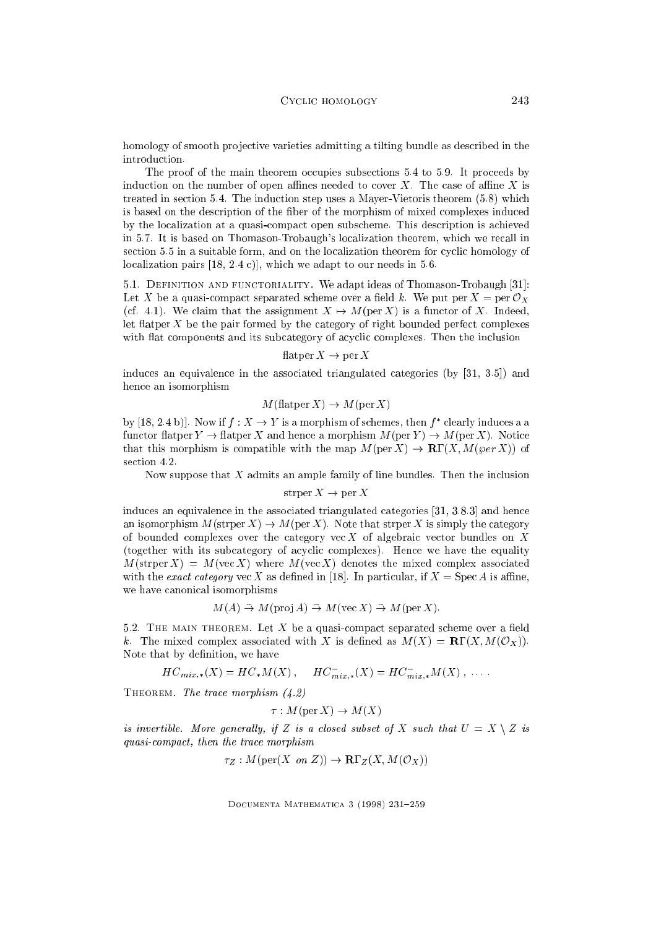homology of smooth projective varieties admitting a tilting bundle as described in the introduction.

The proof of the main theorem occupies subsections 5.4 to 5.9. It proceeds by induction on the number of open affines needed to cover  $X$ . The case of affine  $X$  is treated in section 5.4. The induction step uses a Mayer-Vietoris theorem (5.8) which is based on the description of the fiber of the morphism of mixed complexes induced by the localization at a quasi-compact open subscheme. This description is achieved in 5.7. It is based on Thomason-Trobaugh's localization theorem, which we recall in section 5.5 in a suitable form, and on the localization theorem for cyclic homology of localization pairs [18, 2.4 c)], which we adapt to our needs in 5.6.

5.1. Definition and functoriality. We adapt ideas of Thomason-Trobaugh [31]: Let X be a quasi-compact separated scheme over a field k. We put per  $X = \text{per } \mathcal{O}_X$ (cf. 4.1). We claim that the assignment  $X \mapsto M(\text{per } X)$  is a functor of X. Indeed, let flatper  $X$  be the pair formed by the category of right bounded perfect complexes with flat components and its subcategory of acyclic complexes. Then the inclusion

## flatper  $X \to \text{per } X$

induces an equivalence in the associated triangulated categories (by [31, 3.5]) and hence an isomorphism

$$
M
$$
(flatper  $X$ )  $\rightarrow M$ (per  $X$ )

by [18, 2.4 b)]. Now if  $f: A \to I$  is a morphism of schemes, then f clearly induces a a functor flatper  $Y \to \text{flatper } X$  and hence a morphism  $M(\text{per } Y) \to M(\text{per } X)$ . Notice that this morphism is compatible with the map  $M(\text{per } X) \to \mathbf{R}\Gamma(X, M(\text{per } X))$  of section 4.2.

Now suppose that X admits an ample family of line bundles. Then the inclusion

$$
strper X \to per X
$$

induces an equivalence in the associated triangulated categories [31, 3.8.3] and hence an isomorphism  $M(\text{strper } X) \to M(\text{per } X)$ . Note that strper X is simply the category of bounded complexes over the category vec X of algebraic vector bundles on X (together with its subcategory of acyclic complexes). Hence we have the equality  $M(\text{strper } X) = M(\text{vec } X)$  where  $M(\text{vec } X)$  denotes the mixed complex associated with the *exact category* vec X as defined in [18]. In particular, if  $X = \text{Spec } A$  is affine, we have canonical isomorphisms

$$
M(A) \stackrel{\sim}{\rightarrow} M(\text{proj }A) \stackrel{\sim}{\rightarrow} M(\text{vec }X) \stackrel{\sim}{\rightarrow} M(\text{per }X).
$$

5.2. THE MAIN THEOREM. Let X be a quasi-compact separated scheme over a field k. The mixed complex associated with X is defined as  $M(X) = R\Gamma(X, M(\mathcal{O}_X))$ . Note that by definition, we have

$$
HC_{mix,*}(X) = HC_{*}M(X), \quad HC_{mix,*}^{-}(X) = HC_{mix,*}^{-}M(X), \ldots
$$

THEOREM. The trace morphism  $(4.2)$ 

$$
\tau: M(\text{per } X) \to M(X)
$$

is invertible. More generally, if Z is a closed subset of X such that  $U = X \setminus Z$  is quasi-compact, then the trace morphism

$$
\tau_Z: M(\text{per}(X \text{ on } Z)) \to \mathbf{R}\Gamma_Z(X, M(\mathcal{O}_X))
$$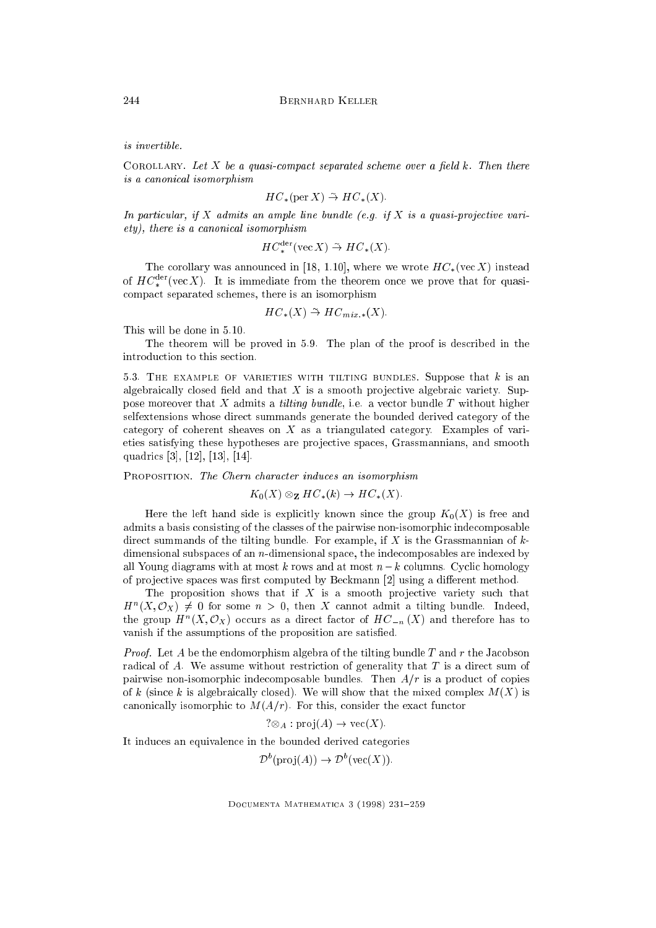is invertible.

COROLLARY. Let X be a quasi-compact separated scheme over a field  $k$ . Then there is a canonical isomorphism

$$
HC_*(\text{per }X) \stackrel{\sim}{\rightarrow} HC_*(X).
$$

In particular, if X admits an ample line bundle (e.g. if X is a quasi-projective variety), there is a canonical isomorphism

$$
HC_*^{\text{der}}(\text{vec } X) \stackrel{\sim}{\to} HC_*(X).
$$

The corollary was announced in [18, 1.10], where we wrote  $HC_*(\nvert X)$  instead of  $HC_*^{++}$  (vec  $\Lambda$  ). It is immediate from the theorem once we prove that for quasicompact separated schemes, there is an isomorphism

$$
HC_*(X) \stackrel{\sim}{\rightarrow} HC_{mix,*}(X).
$$

This will be done in 5.10.

The theorem will be proved in 5.9. The plan of the proof is described in the introduction to this section.

5.3. THE EXAMPLE OF VARIETIES WITH TILTING BUNDLES. Suppose that  $k$  is an algebraically closed field and that  $X$  is a smooth projective algebraic variety. Suppose moreover that  $X$  admits a *tilting bundle*, i.e. a vector bundle  $T$  without higher selfextensions whose direct summands generate the bounded derived category of the category of coherent sheaves on X as a triangulated category. Examples of varieties satisfying these hypotheses are pro jective spaces, Grassmannians, and smooth quadrics [3], [12], [13], [14].

PROPOSITION. The Chern character induces an isomorphism

$$
K_0(X) \otimes_{\mathbf{Z}} HC_*(k) \to HC_*(X).
$$

Here the left hand side is explicitly known since the group  $K_0(X)$  is free and admits a basis consisting of the classes of the pairwise non-isomorphic indecomposable direct summands of the tilting bundle. For example, if  $X$  is the Grassmannian of  $k$ dimensional subspaces of an  $n$ -dimensional space, the indecomposables are indexed by all Young diagrams with at most k rows and at most  $n - k$  columns. Cyclic homology of projective spaces was first computed by Beckmann [2] using a different method.

The proposition shows that if  $X$  is a smooth projective variety such that  $H^{\sim}(\Lambda, \mathcal{O}_X) \neq 0$  for some  $n > 0$ , then  $\Lambda$  cannot admit a theng bundle. Indeed, the group  $H^0(X, \mathcal{O}(\overline{X}))$  occurs as a direct factor of  $H\mathcal{O}_{-n}(X)$  and therefore has to vanish if the assumptions of the proposition are satised.

*Proof.* Let A be the endomorphism algebra of the tilting bundle T and r the Jacobson radical of  $A$ . We assume without restriction of generality that  $T$  is a direct sum of pairwise non-isomorphic indecomposable bundles. Then  $A/r$  is a product of copies of k (since k is algebraically closed). We will show that the mixed complex  $M(X)$  is canonically isomorphic to  $M(A/r)$ . For this, consider the exact functor

$$
? \otimes_A : \text{proj}(A) \to \text{vec}(X).
$$

It induces an equivalence in the bounded derived categories

 $D^{\text{-}}(\text{proj}(A)) \to D^{\text{-}}(\text{vec}(A))).$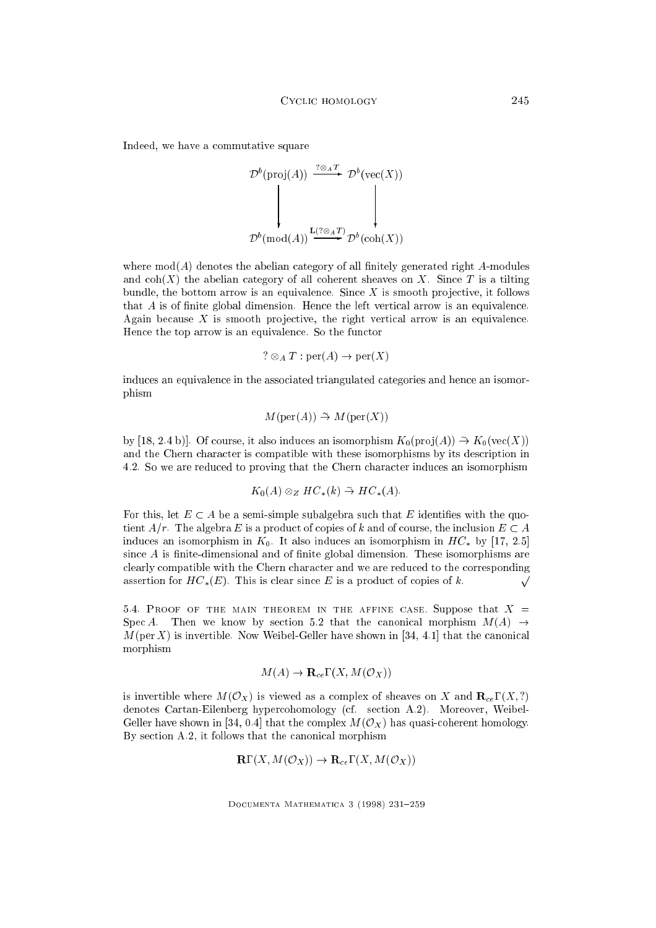Indeed, we have a commutative square

$$
\mathcal{D}^{b}(\text{proj}(A)) \xrightarrow{\mathcal{P} \otimes_{A} T} \mathcal{D}^{b}(\text{vec}(X))
$$
\n
$$
\downarrow \qquad \qquad \downarrow
$$
\n
$$
\mathcal{D}^{b}(\text{mod}(A)) \xrightarrow{\mathbf{L}(\mathcal{P} \otimes_{A} T)} \mathcal{D}^{b}(\text{coh}(X))
$$

where  $mod(A)$  denotes the abelian category of all finitely generated right A-modules and  $\text{coh}(X)$  the abelian category of all coherent sheaves on X. Since T is a tilting bundle, the bottom arrow is an equivalence. Since  $X$  is smooth projective, it follows that  $A$  is of finite global dimension. Hence the left vertical arrow is an equivalence. Again because  $X$  is smooth projective, the right vertical arrow is an equivalence. Hence the top arrow is an equivalence. So the functor

? 
$$
\otimes_A T : \text{per}(A) \rightarrow \text{per}(X)
$$

induces an equivalence in the associated triangulated categories and hence an isomorphism

$$
M(\text{per}(A)) \stackrel{\sim}{\rightarrow} M(\text{per}(X))
$$

by [18, 2.4 b)]. Of course, it also induces an isomorphism  $K_0(pro](A)) \to K_0(vec(X))$ and the Chern character is compatible with these isomorphisms by its description in 4.2. So we are reduced to proving that the Chern character induces an isomorphism

$$
K_0(A) \otimes_Z HC_*(k) \stackrel{\sim}{\to} HC_*(A).
$$

For this, let  $E \subset A$  be a semi-simple subalgebra such that E identifies with the quotient  $A/r$ . The algebra E is a product of copies of k and of course, the inclusion  $E \subset A$ induces an isomorphism in  $K_0$ . It also induces an isomorphism in  $HC_*$  by [17, 2.5] since  $A$  is finite-dimensional and of finite global dimension. These isomorphisms are clearly compatible with the Chern character and we are reduced to the corresponding assertion for  $HC_*(E)$ . This is clear since E is a product of copies of k.  $\sqrt{ }$ 

5.4. PROOF OF THE MAIN THEOREM IN THE AFFINE CASE. Suppose that  $X =$ Spec A. Then we know by section 5.2 that the canonical morphism  $M(A) \rightarrow$  $M(\text{per } X)$  is invertible. Now Weibel-Geller have shown in [34, 4.1] that the canonical morphism

$$
M(A) \to \mathbf{R}_{ce} \Gamma(X, M(\mathcal{O}_X))
$$

is invertible where  $M(\mathcal{O}_X)$  is viewed as a complex of sheaves on X and  $\mathbf{R}_{ce}\Gamma(X,?)$ denotes Cartan-Eilenberg hypercohomology (cf. section A.2). Moreover, Weibel-Geller have shown in [34, 0.4] that the complex  $M(\mathcal{O}_X)$  has quasi-coherent homology. By section A.2, it follows that the canonical morphism

$$
\mathbf{R}\Gamma(X, M(\mathcal{O}_X)) \to \mathbf{R}_{ce}\Gamma(X, M(\mathcal{O}_X))
$$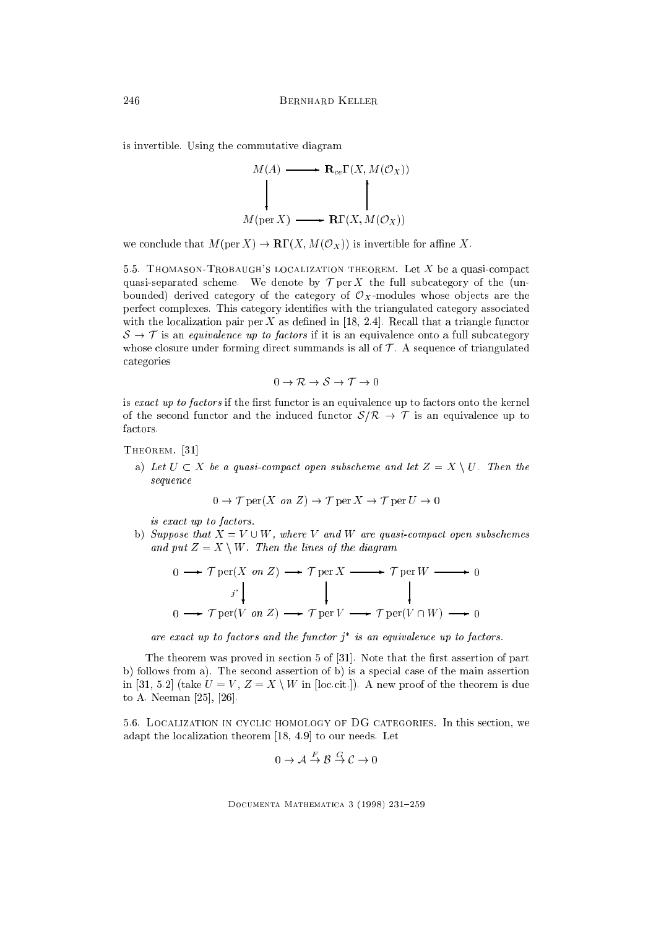is invertible. Using the commutative diagram



we conclude that  $M(\text{per } X) \to \mathbf{R}\Gamma(X, M(\mathcal{O}_X))$  is invertible for affine X.

5.5. THOMASON-TROBAUGH'S LOCALIZATION THEOREM. Let  $X$  be a quasi-compact quasi-separated scheme. We denote by  $\mathcal T$  per X the full subcategory of the (unbounded) derived category of the category of  $\mathcal{O}_X$ -modules whose objects are the perfect complexes. This category identies with the triangulated category associated with the localization pair per  $X$  as defined in [18, 2.4]. Recall that a triangle functor  $S \rightarrow \mathcal{T}$  is an equivalence up to factors if it is an equivalence onto a full subcategory whose closure under forming direct summands is all of  $\mathcal T$ . A sequence of triangulated categories

$$
0 \to \mathcal{R} \to \mathcal{S} \to \mathcal{T} \to 0
$$

is exact up to factors if the first functor is an equivalence up to factors onto the kernel of the second functor and the induced functor  $S/R \rightarrow T$  is an equivalence up to factors.

THEOREM. [31]

a) Let  $U \subset X$  be a quasi-compact open subscheme and let  $Z = X \setminus U$ . Then the sequence

$$
0 \to \mathcal{T} \text{per}(X \text{ on } Z) \to \mathcal{T} \text{per}(X \to \mathcal{T} \text{per}(U \to 0))
$$

is exact up to factors.

b) Suppose that  $X = V \cup W$ , where V and W are quasi-compact open subschemes and put  $Z = X \setminus W$ . Then the lines of the diagram

$$
0 \longrightarrow \mathcal{T} \text{per}(X \text{ on } Z) \longrightarrow \mathcal{T} \text{per } X \longrightarrow \mathcal{T} \text{per } W \longrightarrow 0
$$
  

$$
j^* \downarrow \qquad \qquad \downarrow \qquad \qquad \downarrow
$$
  

$$
0 \longrightarrow \mathcal{T} \text{per}(V \text{ on } Z) \longrightarrow \mathcal{T} \text{per } V \longrightarrow \mathcal{T} \text{per}(V \cap W) \longrightarrow 0
$$

are exact up to factors and the functor j is an equivalence up to factors.

The theorem was proved in section  $5$  of  $[31]$ . Note that the first assertion of part b) follows from a). The second assertion of b) is a special case of the main assertion in [31, 5.2] (take  $U = V$ ,  $Z = X \setminus W$  in [loc.cit.]). A new proof of the theorem is due to A. Neeman [25], [26].

5.6. Localization in cyclic homology of DG categories. In this section, we adapt the localization theorem [18, 4.9] to our needs. Let

$$
0 \to \mathcal{A} \stackrel{F}{\to} \mathcal{B} \stackrel{G}{\to} \mathcal{C} \to 0
$$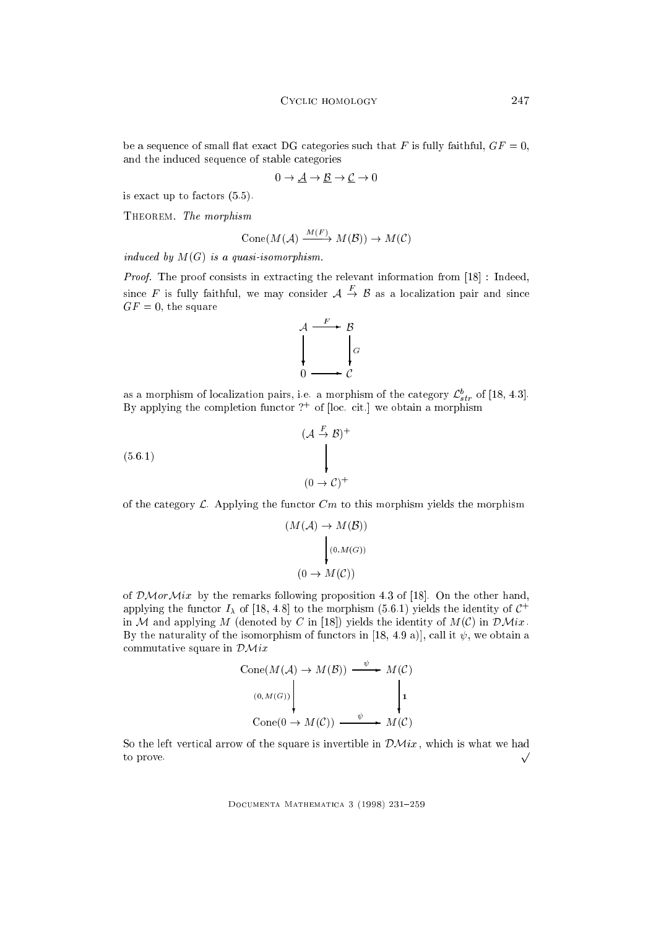be a sequence of small flat exact DG categories such that F is fully faithful,  $GF = 0$ , and the induced sequence of stable categories

$$
0 \to \underline{\mathcal{A}} \to \underline{\mathcal{B}} \to \underline{\mathcal{C}} \to 0
$$

is exact up to factors (5.5).

THEOREM. The morphism

$$
Cone(M(\mathcal{A}) \xrightarrow{M(F)} M(\mathcal{B})) \to M(\mathcal{C})
$$

induced by  $M(G)$  is a quasi-isomorphism.

Proof. The proof consists in extracting the relevant information from [18] : Indeed, since F is fully faithful, we may consider  $A \rightarrow B$  as a localization pair and since  $GF = 0$ , the square



as a morphism of localization pairs, i.e. a morphism of the category  $\mathcal{L}_{str}$  of [18, 4.3]. By applying the completion functor ?+ of [loc. cit.] we obtain a morphism

$$
(\mathcal{A} \stackrel{F}{\rightarrow} \mathcal{B})^+
$$
  
(5.6.1)  

$$
(0 \rightarrow \mathcal{C})^+
$$

of the category  $\mathcal{L}$ . Applying the functor  $Cm$  to this morphism yields the morphism

$$
(M(\mathcal{A}) \to M(\mathcal{B}))
$$

$$
\downarrow (0, M(G))
$$

$$
(0 \to M(\mathcal{C}))
$$

of  $\mathcal{DM}or\mathcal{M}ix$  by the remarks following proposition 4.3 of [18]. On the other hand, applying the functor  $I_\lambda$  of [18, 4.8] to the morphism (5.6.1) yields the identity of  $C^+$ in M and applying M (denoted by C in [18]) yields the identity of  $M(\mathcal{C})$  in  $\mathcal{D}$ Mix. By the naturality of the isomorphism of functors in [18, 4.9 a)], call it  $\psi$ , we obtain a commutative square in  $\mathcal{DM}$ ix

$$
Cone(M(\mathcal{A}) \to M(\mathcal{B})) \xrightarrow{\psi} M(\mathcal{C})
$$
  
\n
$$
(0,M(G)) \downarrow \qquad \qquad \downarrow 1
$$
  
\n
$$
Cone(0 \to M(\mathcal{C})) \xrightarrow{\psi} M(\mathcal{C})
$$

So the left vertical arrow of the square is invertible in  $\mathcal{DM}ix$ , which is what we had to prove.  $\sqrt{ }$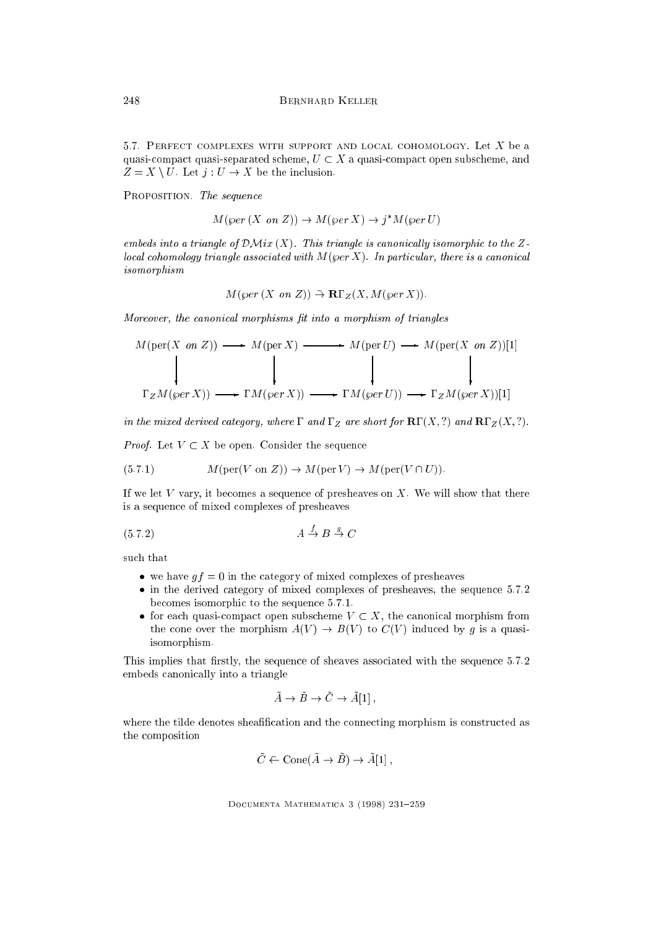5.7. PERFECT COMPLEXES WITH SUPPORT AND LOCAL COHOMOLOGY. Let  $X$  be a quasi-compact quasi-separated scheme,  $U \subset X$  a quasi-compact open subscheme, and  $Z = X \setminus U$ . Let  $j : U \to X$  be the inclusion.

PROPOSITION. The sequence

$$
M(\varphi e r(X \text{ on } Z)) \to M(\varphi e r X) \to j^*M(\varphi e r U)
$$

embeds into a triangle of  $\mathcal{DM}ix(X)$ . This triangle is canonically isomorphic to the Zlocal cohomology triangle associated with  $M(\varphi$ er X). In particular, there is a canonical isomorphism

$$
M
$$
( $\wp$ er  $(X \text{ on } Z)$ )  $\stackrel{\sim}{\rightarrow} \mathbf{R} \Gamma_Z(X, M$ ( $\wp$ er  $X$ )).

Moreover, the canonical morphisms fit into a morphism of triangles

$$
M(\text{per}(X \text{ on } Z)) \longrightarrow M(\text{per } X) \longrightarrow M(\text{per } U) \longrightarrow M(\text{per}(X \text{ on } Z))[1]
$$
\n
$$
\downarrow \qquad \qquad \downarrow \qquad \qquad \downarrow \qquad \qquad \downarrow
$$
\n
$$
\Gamma_Z M(\text{per } X)) \longrightarrow \Gamma M(\text{per } X)) \longrightarrow \Gamma M(\text{per } U) \longrightarrow \Gamma_Z M(\text{per } X)[1]
$$

in the mixed derived category, where  $\Gamma$  and  $\Gamma_Z$  are short for  $\mathbf{R}\Gamma(X,?)$  and  $\mathbf{R}\Gamma_Z(X,?)$ .

*Proof.* Let  $V \subset X$  be open. Consider the sequence

(5.7.1) 
$$
M(\text{per}(V \text{ on } Z)) \to M(\text{per}(V) \to M(\text{per}(V \cap U)).
$$

If we let  $V$  vary, it becomes a sequence of presheaves on  $X$ . We will show that there is a sequence of mixed complexes of presheaves

$$
(5.7.2) \t\t A \xrightarrow{f} B \xrightarrow{g} C
$$

such that

- we have  $gf = 0$  in the category of mixed complexes of presheaves
- $\bullet$  in the derived category of mixed complexes of presheaves, the sequence 5.7.2 becomes isomorphic to the sequence 5.7.1.
- for each quasi-compact open subscheme  $V \subset X$ , the canonical morphism from the cone over the morphism  $A(V) \to B(V)$  to  $C(V)$  induced by g is a quasiisomorphism.

This implies that firstly, the sequence of sheaves associated with the sequence 5.7.2 embeds canonically into a triangle

$$
\tilde{A} \to \tilde{B} \to \tilde{C} \to \tilde{A}[1],
$$

where the tilde denotes sheafification and the connecting morphism is constructed as the composition

$$
\tilde{C} \leftarrow \text{Cone}(\tilde{A} \to \tilde{B}) \to \tilde{A}[1],
$$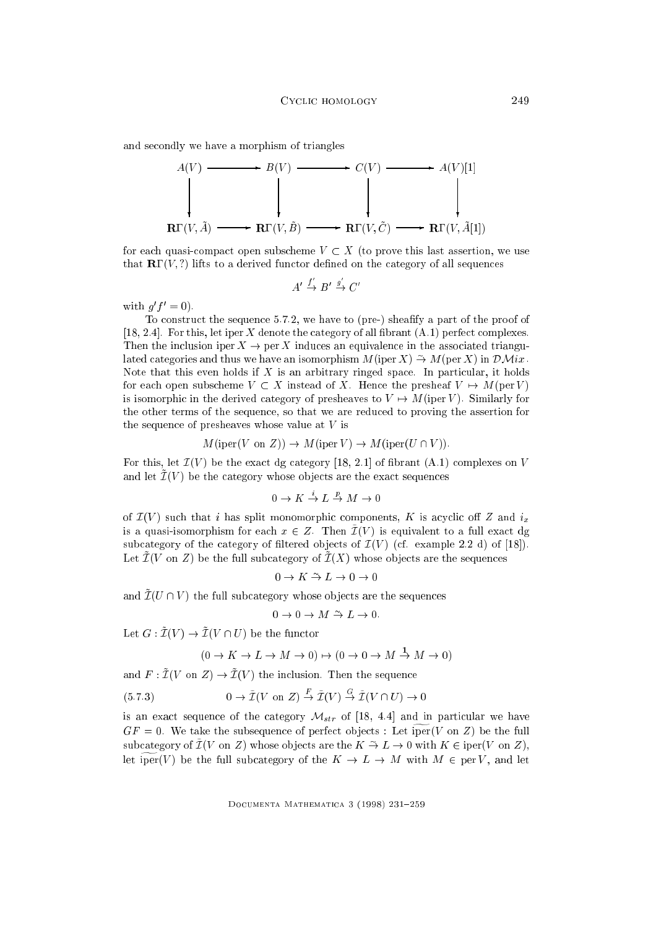and secondly we have a morphism of triangles



for each quasi-compact open subscheme  $V \subset X$  (to prove this last assertion, we use that  $\mathbf{R} \Gamma(V, ?)$  lifts to a derived functor defined on the category of all sequences

$$
A' \xrightarrow{f'} B' \xrightarrow{g'} C'
$$

with  $q_l = 0$ .

To construct the sequence 5.7.2, we have to (pre-) sheafy a part of the proof of [18, 2.4]. For this, let iper X denote the category of all fibrant  $(A.1)$  perfect complexes. Then the inclusion iper  $X \to \text{per } X$  induces an equivalence in the associated triangulated categories and thus we have an isomorphism  $M$  (iper X)  $\rightarrow M$  (per X) in  $\mathcal{D}$ Mix. Note that this even holds if  $X$  is an arbitrary ringed space. In particular, it holds for each open subscheme  $V \subset X$  instead of X. Hence the presheaf  $V \mapsto M(\text{per } V)$ is isomorphic in the derived category of presheaves to  $V \rightarrow M$  (iper V). Similarly for the other terms of the sequence, so that we are reduced to proving the assertion for the sequence of presheaves whose value at  $V$  is

$$
M(\text{iper}(V \text{ on } Z)) \to M(\text{iper}(V) \to M(\text{iper}(U \cap V)).
$$

For this, let  $\mathcal{I}(V)$  be the exact dg category [18, 2.1] of fibrant (A.1) complexes on V and let  $\tilde{\mathcal{I}}(V)$  be the category whose objects are the exact sequences

$$
0 \to K \stackrel{i}{\to} L \stackrel{p}{\to} M \to 0
$$

of  $\mathcal{I}(V)$  such that i has split monomorphic components, K is acyclic off Z and  $i_x$ is a quasi-isomorphism for each  $x \in Z$ . Then  $\tilde{\mathcal{I}}(V)$  is equivalent to a full exact dg subcategory of the category of filtered objects of  $\mathcal{I}(V)$  (cf. example 2.2 d) of [18]). Let  $\mathcal{I}(V \text{ on } Z)$  be the full subcategory of  $\mathcal{I}(X)$  whose objects are the sequences

$$
0 \to K \xrightarrow{\sim} L \to 0 \to
$$

and  $\tilde{\mathcal{I}}(U \cap V)$  the full subcategory whose objects are the sequences

$$
0 \to 0 \to M \xrightarrow{\sim} L \to 0
$$

Let  $G: \mathcal{L}(V) \to \mathcal{L}(V)$  is the function

$$
(0 \to K \to L \to M \to 0) \to (0 \to 0 \to M \to M \to 0)
$$

and  $F: \tilde{\mathcal{I}}(V \text{ on } Z) \to \tilde{\mathcal{I}}(V)$  the inclusion. Then the sequence

$$
(5.7.3) \t\t 0 \to \tilde{\mathcal{I}}(V \text{ on } Z) \stackrel{F}{\to} \tilde{\mathcal{I}}(V) \stackrel{G}{\to} \tilde{\mathcal{I}}(V \cap U) \to 0
$$

is an exact sequence of the category  $\mathcal{M}_{str}$  of [18, 4.4] and in particular we have  $GF = 0$ . We take the subsequence of perfect objects : Let iper(V on Z) be the full subcategory of  $L(V)$  on  $Z$ ) whose objects are the  $K \to L \to 0$  with  $K \in \mathrm{iper}(V$  on  $Z$ ), let  $\widetilde{\text{per}}(V)$  be the full subcategory of the  $K \to L \to M$  with  $M \in \text{per } V$ , and let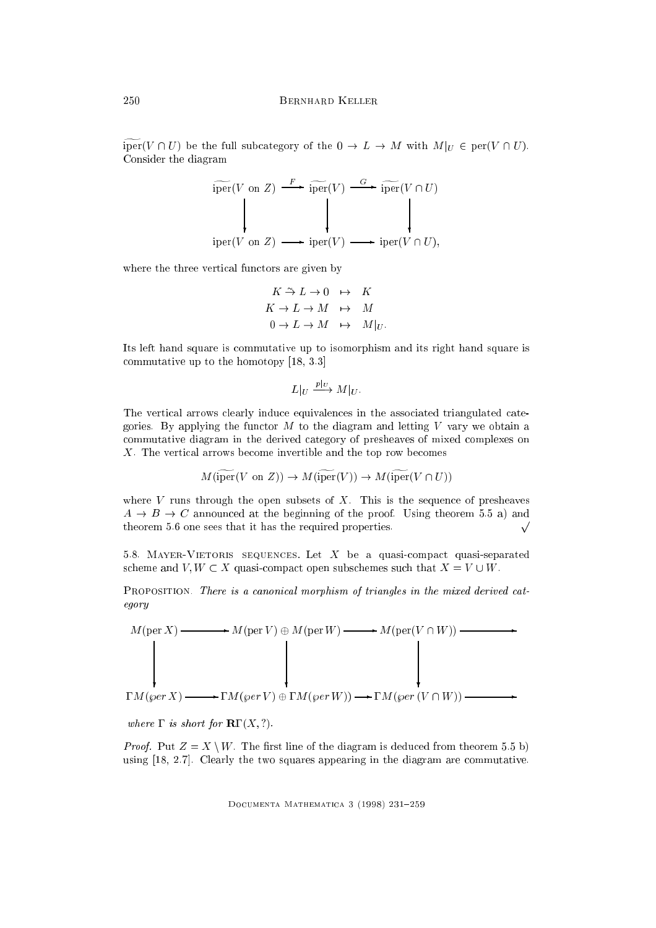iper( $V \cap U$ ) be the full subcategory of the  $0 \to L \to M$  with  $M|_U \in \text{per}(V \cap U)$ . Consider the diagram

$$
\text{iper}(V \text{ on } Z) \xrightarrow{F} \text{iper}(V) \xrightarrow{G} \text{iper}(V \cap U)
$$
\n
$$
\downarrow \qquad \qquad \downarrow \qquad \qquad \downarrow
$$
\n
$$
\text{iper}(V \text{ on } Z) \xrightarrow{F} \text{iper}(V) \longrightarrow \text{iper}(V \cap U),
$$

where the three vertical functors are given by

$$
K \stackrel{\sim}{\rightarrow} L \rightarrow 0 \quad \mapsto \quad K
$$
  

$$
K \rightarrow L \rightarrow M \quad \mapsto \quad M
$$
  

$$
0 \rightarrow L \rightarrow M \quad \mapsto \quad M|_{U}.
$$

Its left hand square is commutative up to isomorphism and its right hand square is commutative up to the homotopy [18, 3.3]

$$
L|_U \xrightarrow{p|_U} M|_U.
$$

The vertical arrows clearly induce equivalences in the associated triangulated categories. By applying the functor  $M$  to the diagram and letting  $V$  vary we obtain a commutative diagram in the derived category of presheaves of mixed complexes on X. The vertical arrows become invertible and the top row becomes

$$
M
$$
 (iper $(V \text{ on } Z)$ )  $\rightarrow M$  (iper $(V)$ )  $\rightarrow M$  (iper $(V \cap U)$ )

where  $V$  runs through the open subsets of  $X$ . This is the sequence of presheaves  $A \rightarrow B \rightarrow C$  announced at the beginning of the proof. Using theorem 5.5 a) and theorem 5.6 one sees that it has the required properties.  $\sqrt{\phantom{a}}$ 

5.8. MAYER-VIETORIS SEQUENCES. Let  $X$  be a quasi-compact quasi-separated scheme and  $V, W \subset X$  quasi-compact open subschemes such that  $X = V \cup W$ .

PROPOSITION. There is a canonical morphism of triangles in the mixed derived category



where  $\Gamma$  is short for  $\mathbf{R}\Gamma(X, ?)$ .

*Proof.* Put  $Z = X \setminus W$ . The first line of the diagram is deduced from theorem 5.5 b) using [18, 2.7]. Clearly the two squares appearing in the diagram are commutative.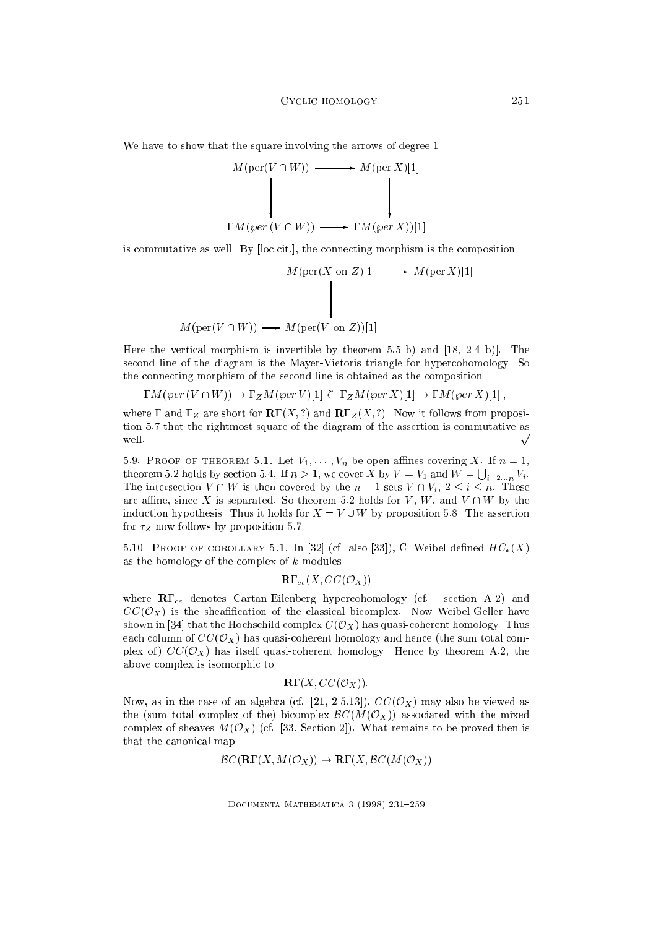We have to show that the square involving the arrows of degree 1

 $M$ (per



is commutative as well. By [loc.cit.], the connecting morphism is the composition

$$
M(\text{per}(X \text{ on } Z)[1] \longrightarrow M(\text{per } X)[1]
$$
\n
$$
(V \cap W)) \longrightarrow M(\text{per}(V \text{ on } Z))[1]
$$

Here the vertical morphism is invertible by theorem 5.5 b) and [18, 2.4 b)]. The second line of the diagram is the Mayer-Vietoris triangle for hypercohomology. So the connecting morphism of the second line is obtained as the composition

$$
\Gamma M(\text{per } (V \cap W)) \to \Gamma_Z M(\text{per } V)[1] \stackrel{\sim}{\leftarrow} \Gamma_Z M(\text{per } X)[1] \to \Gamma M(\text{per } X)[1],
$$

where  $\Gamma$  and  $\Gamma_Z$  are short for  $\mathbb{R}\Gamma(X, ?)$  and  $\mathbb{R}\Gamma_Z(X, ?)$ . Now it follows from proposition 5.7 that the rightmost square of the diagram of the assertion is commutative as well.  $\sim$ 

5.9. PROOF OF THEOREM 5.1. Let  $V_1, \ldots, V_n$  be open affines covering X. If  $n = 1$ , theorem 5.2 holds by section 5.4. If  $n > 1$ , we cover X by  $V = V_1$  and  $W = \bigcup_{i=2...n} V_i$ . The intersection  $V \cap W$  is then covered by the  $n-1$  sets  $V \cap V_i$ ,  $2 \le i \le n$ . These are affine, since X is separated. So theorem 5.2 holds for V, W, and V  $\cap$  W by the induction hypothesis. Thus it holds for  $X = V \cup W$  by proposition 5.8. The assertion for  $\tau_Z$  now follows by proposition 5.7.

5.10. PROOF OF COROLLARY 5.1. In [32] (cf. also [33]), C. Weibel defined  $HC_*(X)$ as the homology of the complex of  $k$ -modules

$$
\mathbf{R}\Gamma_{ce}(X,CC(\mathcal{O}_X))
$$

where  $\mathbb{R}\Gamma_{ce}$  denotes Cartan-Eilenberg hypercohomology (cf. section A.2) and  $CC(\mathcal{O}_X)$  is the sheafification of the classical bicomplex. Now Weibel-Geller have shown in [34] that the Hochschild complex  $C(\mathcal{O}_X)$  has quasi-coherent homology. Thus each column of  $CC(\mathcal{O}_X)$  has quasi-coherent homology and hence (the sum total complex of)  $CC(\mathcal{O}_X)$  has itself quasi-coherent homology. Hence by theorem A.2, the above complex is isomorphic to

$$
\mathbf{R}\Gamma(X, CC(\mathcal{O}_X)).
$$

Now, as in the case of an algebra (cf. [21, 2.5.13]),  $CC(\mathcal{O}_X)$  may also be viewed as the (sum total complex of the) bicomplex  $\mathcal{B}C(M(\mathcal{O}_X))$  associated with the mixed complex of sheaves  $M(\mathcal{O}_X)$  (cf. [33, Section 2]). What remains to be proved then is that the canonical map

$$
BC(\mathbf{R}\Gamma(X, M(\mathcal{O}_X)) \to \mathbf{R}\Gamma(X, BC(M(\mathcal{O}_X)))
$$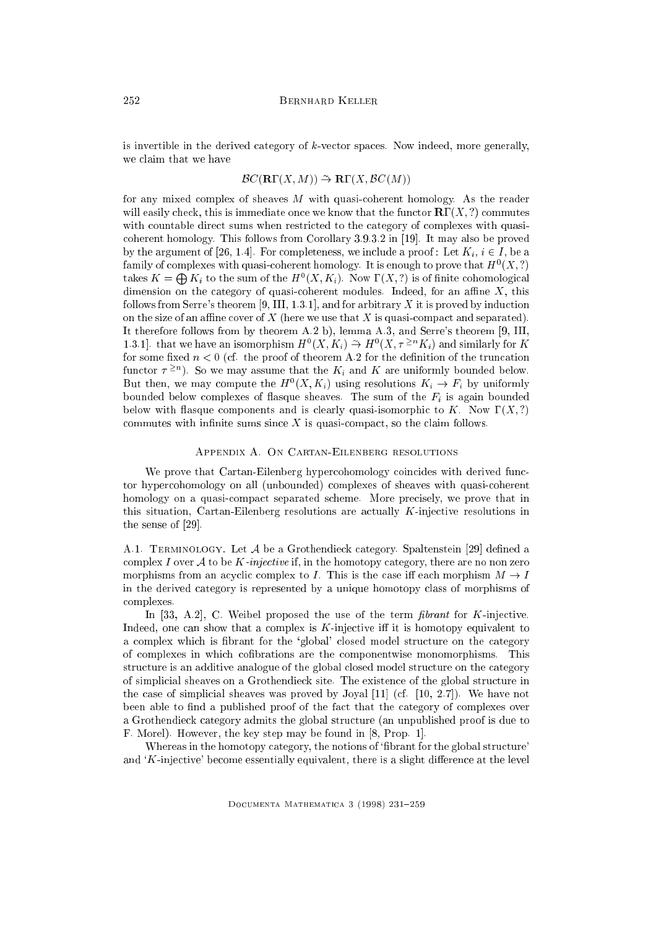is invertible in the derived category of  $k$ -vector spaces. Now indeed, more generally, we claim that we have

### $BC(\mathbf{R}(\mathbf{X},M)) \to \mathbf{R}(\mathbf{X},BC(M))$

for any mixed complex of sheaves  $M$  with quasi-coherent homology. As the reader will easily check, this is immediate once we know that the functor  $\mathbb{R}\Gamma(X, ?)$  commutes with countable direct sums when restricted to the category of complexes with quasicoherent homology. This follows from Corollary 3.9.3.2 in [19]. It may also be proved by the argument of [26, 1.4]. For completeness, we include a proof : Let  $K_i$ ,  $i \in I$ , be a ramily of complexes with quasi-coherent homology. It is enough to prove that  $H^*(A, \mathcal{G})$ takes  $K = \bigoplus K_i$  to the sum of the  $H^0(X, K_i)$ . Now  $\Gamma(X, ?)$  is of finite cohomological dimension on the category of quasi-coherent modules. Indeed, for an affine  $X$ , this follows from Serre's theorem  $[9, III, 1.3.1]$ , and for arbitrary X it is proved by induction on the size of an affine cover of  $X$  (here we use that  $X$  is quasi-compact and separated). It therefore follows from by theorem A.2 b), lemma A.3, and Serre's theorem [9, III, 1.3.1. that we have an isomorphism  $H^{\circ}(X, K_i) \to H^{\circ}(X, \tau \leq K_i)$  and similarly for K for some fixed  $n < 0$  (cf. the proof of theorem A.2 for the definition of the truncation functor  $\tau$  = 1. So we may assume that the  $K_i$  and  $K$  are uniformly bounded below. But then, we may compute the  $H^*(X, K_i)$  using resolutions  $K_i \to F_i$  by uniformly bounded below complexes of flasque sheaves. The sum of the  $F_i$  is again bounded below with flasque components and is clearly quasi-isomorphic to K. Now  $\Gamma(X, ?)$ commutes with infinite sums since  $X$  is quasi-compact, so the claim follows.

## Appendix A. On Cartan-Eilenberg resolutions

We prove that Cartan-Eilenberg hypercohomology coincides with derived functor hypercohomology on all (unbounded) complexes of sheaves with quasi-coherent homology on a quasi-compact separated scheme. More precisely, we prove that in this situation, Cartan-Eilenberg resolutions are actually K-injective resolutions in the sense of [29].

A.1. TERMINOLOGY. Let A be a Grothendieck category. Spaltenstein [29] defined a complex I over A to be K-injective if, in the homotopy category, there are no non zero morphisms from an acyclic complex to I. This is the case iff each morphism  $M \to I$ in the derived category is represented by a unique homotopy class of morphisms of complexes.

In [33, A.2], C. Weibel proposed the use of the term *fibrant* for  $K$ -injective. Indeed, one can show that a complex is  $K$ -injective iff it is homotopy equivalent to a complex which is brant for the `global' closed model structure on the category of complexes in which cobrations are the componentwise monomorphisms. This structure is an additive analogue of the global closed model structure on the category of simplicial sheaves on a Grothendieck site. The existence of the global structure in the case of simplicial sheaves was proved by Joyal [11] (cf. [10, 2.7]). We have not been able to find a published proof of the fact that the category of complexes over a Grothendieck category admits the global structure (an unpublished proof is due to F. Morel). However, the key step may be found in [8, Prop. 1].

Whereas in the homotopy category, the notions of 'fibrant for the global structure' and  $K$ -injective' become essentially equivalent, there is a slight difference at the level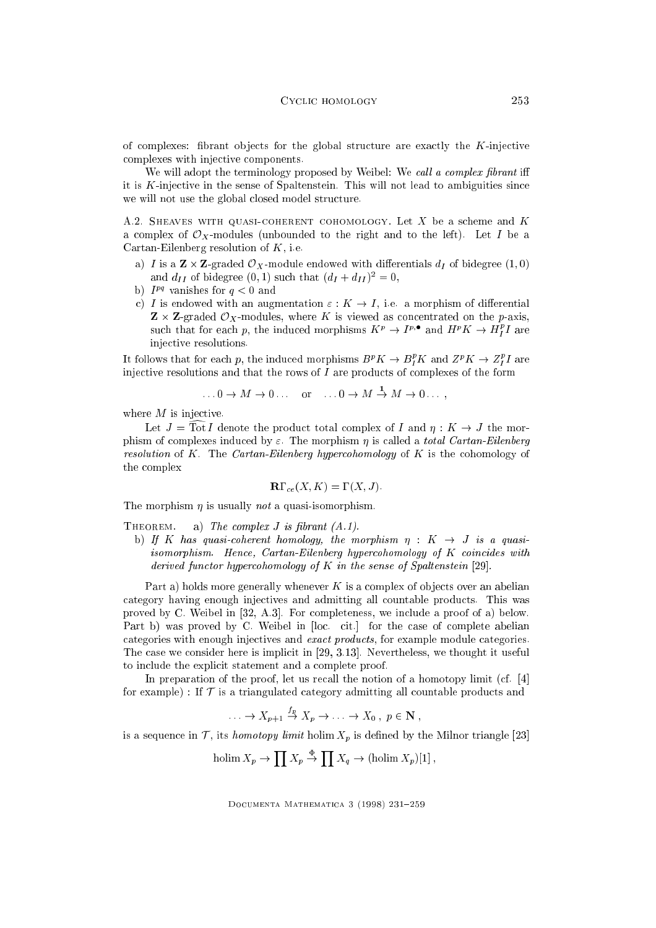of complexes: fibrant objects for the global structure are exactly the  $K$ -injective complexes with injective components.

We will adopt the terminology proposed by Weibel: We call a complex fibrant iff it is  $K$ -injective in the sense of Spaltenstein. This will not lead to ambiguities since we will not use the global closed model structure.

A.2. SHEAVES WITH QUASI-COHERENT COHOMOLOGY. Let X be a scheme and  $K$ a complex of  $\mathcal{O}_X$ -modules (unbounded to the right and to the left). Let I be a Cartan-Eilenberg resolution of  $K$ , i.e.

- a) I is a Z-graded  $\mathcal{A}$  international with distribution  $\mathcal{A}$ and  $a_{II}$  of bidegree  $(0, 1)$  such that  $(a_I + a_{II})^2 = 0$ ,
- $\mathfrak{p}_1$   $I^{pq}$  vanishes for  $q < 0$  and
- c) I is endowed with an augmentation  $\varepsilon : K \to I$ , i.e. a morphism of differential  $\mathcal{L} = \mathcal{L} = \mathcal{L}$  . We concentrate the concentrated on the properties on the p-axis,  $\mathcal{L}$ such that for each p, the induced morphisms  $K^p \to I^{p,\bullet}$  and  $H^pK \to H^{\bullet}_I I$  are injective resolutions.

It follows that for each p, the induced morphisms  $B^pK \to B_I^rK$  and  $Z^pK \to Z_I^rI$  are injective resolutions and that the rows of  $I$  are products of complexes of the form

$$
\dots 0 \to M \to 0 \dots \quad \text{or} \quad \dots 0 \to M \to M \to 0 \dots,
$$

where  $M$  is injective.

Let  $J = \text{Tot } I$  denote the product total complex of I and  $\eta : K \to J$  the morphism of complexes induced by  $\varepsilon$ . The morphism  $\eta$  is called a total Cartan-Eilenberg resolution of  $K$ . The Cartan-Eilenberg hypercohomology of  $K$  is the cohomology of the complex

$$
\mathbf{R}\Gamma_{ce}(X,K)=\Gamma(X,J).
$$

The morphism  $\eta$  is usually *not* a quasi-isomorphism.

THEOREM. a) The complex  $J$  is fibrant  $(A.1)$ .

b) If K has quasi-coherent homology, the morphism  $\eta : K \rightarrow J$  is a quasiisomorphism. Hence, Cartan-Eilenberg hypercohomology of K coincides with derived functor hypercohomology of  $K$  in the sense of Spaltenstein [29].

Part a) holds more generally whenever  $K$  is a complex of objects over an abelian category having enough injectives and admitting all countable products. This was proved by C. Weibel in [32, A.3]. For completeness, we include a proof of a) below. Part b) was proved by C. Weibel in [loc. cit.] for the case of complete abelian categories with enough injectives and exact products, for example module categories. The case we consider here is implicit in [29, 3.13]. Nevertheless, we thought it useful to include the explicit statement and a complete proof.

In preparation of the proof, let us recall the notion of a homotopy limit (cf. [4] for example) : If  $\mathcal T$  is a triangulated category admitting all countable products and

$$
\ldots \to X_{p+1} \stackrel{f_p}{\to} X_p \to \ldots \to X_0, \ p \in \mathbf{N},
$$

is a sequence in  $\mathcal T$ , its *homotopy limit* holim  $X_p$  is defined by the Milnor triangle [23]

$$
\text{holim}\, X_p \to \prod X_p \stackrel{\Phi}{\to} \prod X_q \to (\text{holim}\, X_p)[1]\,,
$$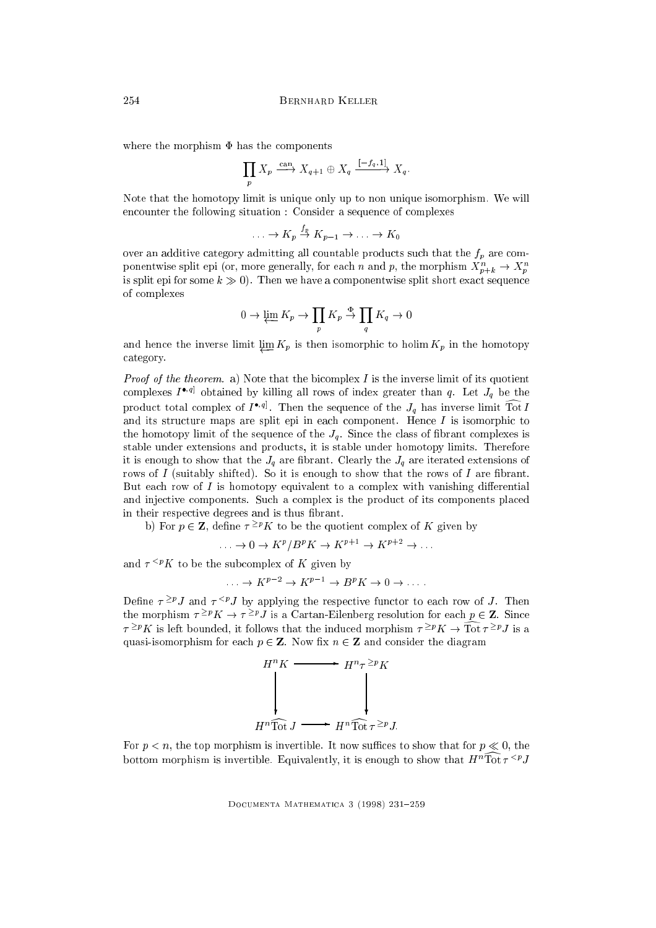where the morphism  $\Phi$  has the components

$$
\prod_p X_p \xrightarrow{\text{can}} X_{q+1} \oplus X_q \xrightarrow{[-f_q, 1]} X_q.
$$

Note that the homotopy limit is unique only up to non unique isomorphism. We will encounter the following situation : Consider a sequence of complexes

$$
\ldots \to K_p \stackrel{I_p}{\to} K_{p-1} \to \ldots \to K_0
$$

over an additive category admitting all countable products such that the  $f_p$  are componentwise spin epi (or, more generally, for each n and p, the morphism  $A_{p+k} \to A_p$ is split epi for some  $k \gg 0$ . Then we have a componentwise split short exact sequence of complexes

$$
0 \to \varprojlim K_p \to \prod_p K_p \stackrel{\Phi}{\to} \prod_q K_q \to 0
$$

and hence the inverse limit  $\lim K_p$  is then isomorphic to holim  $K_p$  in the homotopy category.

*Proof of the theorem.* a) Note that the bicomplex  $I$  is the inverse limit of its quotient complexes  $I$   $\mathbb{P}^1$  obtained by killing all rows of index greater than  $q$ . Let  $J_q$  be the product total complex of  $I^{(eq)}$ . Then the sequence of the  $J_q$  has inverse limit Tot  $I$ and its structure maps are split epi in each component. Hence  $I$  is isomorphic to the homotopy limit of the sequence of the  $J_q$ . Since the class of fibrant complexes is stable under extensions and products, it is stable under homotopy limits. Therefore it is enough to show that the  $J_q$  are fibrant. Clearly the  $J_q$  are iterated extensions of rows of  $I$  (suitably shifted). So it is enough to show that the rows of  $I$  are fibrant. But each row of  $I$  is homotopy equivalent to a complex with vanishing differential and injective components. Such a complex is the product of its components placed in their respective degrees and is thus brant.

b) For  $p \in \mathbb{Z}$ , define  $\tau \geq pK$  to be the quotient complex of K given by

 $\ldots \rightarrow 0 \rightarrow K^P/B^P K \rightarrow K^P L^P \rightarrow K^P L^P$ 

and  $\tau^{< p}K$  to be the subcomplex of K given by

$$
\ldots \to K^{p-2} \to K^{p-1} \to B^p K \to 0 \to \ldots
$$

Define  $\tau$  =  $\tau$ , and  $\tau$   $\sim$  J by applying the respective functor to each row of J. Then the morphism  $\tau$  =  $\kappa$   $\to$   $\tau$  =  $\iota$  is a Cartan-Eilenberg resolution for each  $p \in \mathbb{Z}$ . Since  $\tau$ = $^{\mu}$ N is left bounded, it follows that the induced morphism  $\tau$ = $^{\mu}$ N  $\rightarrow$  10t $\tau$ = $^{\mu}$ J is a quasi-isomorphism for each  $p \in \mathbb{Z}$ . Now fix  $n \in \mathbb{Z}$  and consider the diagram



For  $p < n$ , the top morphism is invertible. It now suffices to show that for  $p \ll 0$ , the bottom morphism is invertible. Equivalently, it is enough to show that  $H^+$  fot  $\tau \geq J$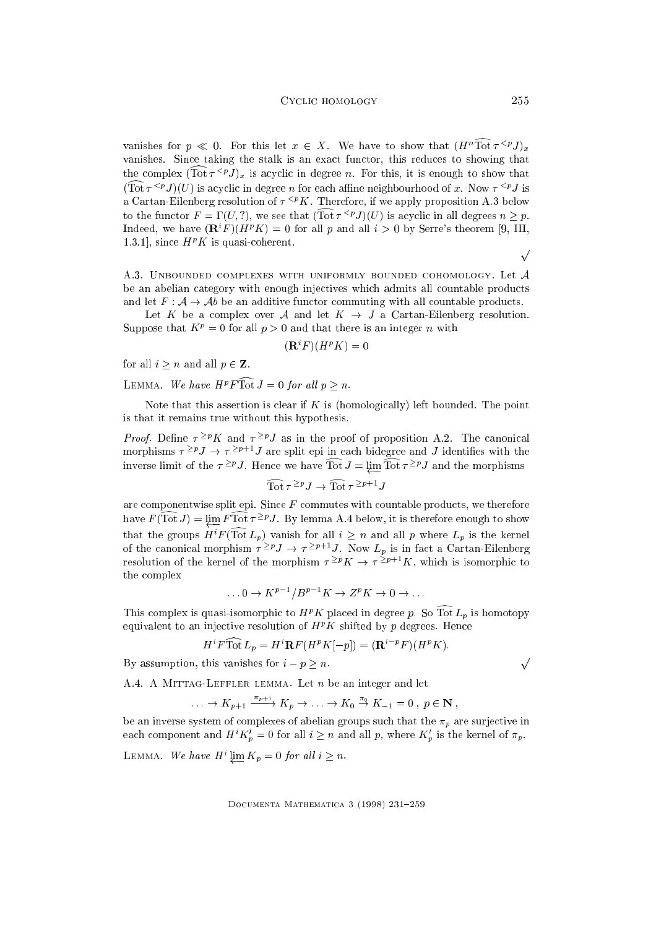vanishes for  $p \ll 0$ . For this let  $x \in X$ . We have to show that  $(H^n \widehat{\mathrm{Tot}} \tau^{\leq p} J)_x$ vanishes. Since taking the stalk is an exact functor, this reduces to showing that the complex  $(\text{Tot } \tau^{\leq p} J)_x$  is acyclic in degree n. For this, it is enough to show that  $(\text{Tot } \tau^{\leq p} J)(U)$  is acyclic in degree *n* for each affine neighbourhood of x. Now  $\tau^{\leq p} J$  is a Cartan-Eilenberg resolution of  $\tau^{. Therefore, if we apply proposition A.3 below$ to the functor  $F = \Gamma(U, ?)$ , we see that  $(\widehat{\text{Tot}} \tau^{\leq p} J)(U)$  is acyclic in all degrees  $n > p$ . Indeed, we have  $(\mathbf{R}^i F)(H^p K) = 0$  for all p and all  $i > 0$  by Serre's theorem [9, III, 1.3.1], since  $H^p K$  is quasi-coherent.

A.3. UNBOUNDED COMPLEXES WITH UNIFORMLY BOUNDED COHOMOLOGY. Let  $\mathcal A$ be an abelian category with enough injectives which admits all countable products and let  $F : A \to Ab$  be an additive functor commuting with all countable products.

Let K be a complex over A and let  $K \to J$  a Cartan-Eilenberg resolution. Suppose that  $K^p = 0$  for all  $p > 0$  and that there is an integer n with

$$
(\mathbf{R}^i F)(H^p K) = 0
$$

for all  $i \geq n$  and all  $p \in \mathbf{Z}$ .

 $\Box$  EMMA. We have  $H^*F$  for  $J = 0$  for an  $p > n$ .

Note that this assertion is clear if  $K$  is (homologically) left bounded. The point is that it remains true without this hypothesis.

*Proof.* Define  $\tau = K$  and  $\tau = VJ$  as in the proof of proposition A.2. The canonical morphisms  $\tau = f$  ,  $\to \tau = f$  ; are spin epi in each bidegree and J identifies with the inverse limit of the  $\tau$ - $\tau$ ). Hence we have Tot  $J = \mu m$  Tot  $\tau - \tau J$  and the morphisms

$$
\widehat{\mathrm{Tot}} \tau^{\geq p} J \to \widehat{\mathrm{Tot}} \tau^{\geq p+1} J
$$

are componentwise split epi. Since  $F$  commutes with countable products, we therefore have  $F(\text{IoU}) = \varprojlim F \text{IoU} \tau - J$ . By lemma A.4 below, it is therefore enough to show that the groups  $H$   $F$  (Tot  $L_p$ ) vanish for all  $i \geq n$  and all  $p$  where  $L_p$  is the kernel of the canonical morphism  $\tau$  =  $^p$  J  $\rightarrow$   $\tau$  =  $^p$   $^p$  J. Now  $L_p$  is in fact a Cartan-Eilenberg resolution of the kernel of the morphism  $\tau^{\geq p}K \to \tau^{\geq p+1}K$ , which is isomorphic to the complex

$$
\dots 0 \to K^{p-1}/B^{p-1}K \to Z^pK \to 0 \to \dots
$$

This complex is quasi-isomorphic to  $H^p K$  placed in degree p. So Tot  $L_p$  is homotopy equivalent to an injective resolution of  $H^p K$  shifted by  $p$  degrees. Hence

$$
H^i F \overline{\mathrm{Tot}} L_p = H^i \mathbf{R} F (H^p K [-p]) = (\mathbf{R}^{i-p} F) (H^p K).
$$

By assumption, this vanishes for  $i - p \geq n$ .

A.4. A MITTAG-LEFFLER LEMMA. Let  $n$  be an integer and let

$$
\ldots \to K_{p+1} \xrightarrow{\pi_{p+1}} K_p \to \ldots \to K_0 \xrightarrow{\pi_0} K_{-1} = 0, \ p \in \mathbf{N},
$$

be an inverse system of complexes of abelian groups such that the  $\pi_p$  are surjective in each component and  $H^+K_p = 0$  for all  $i \geq n$  and all p, where  $K_p$  is the kernel of  $\pi_p$ .

LEMMA. We have 
$$
H^i \varprojlim K_p = 0
$$
 for all  $i \geq n$ .

DOCUMENTA MATHEMATICA 3 (1998) 231-259

 $\sqrt{ }$ 

$$
\sqrt{}
$$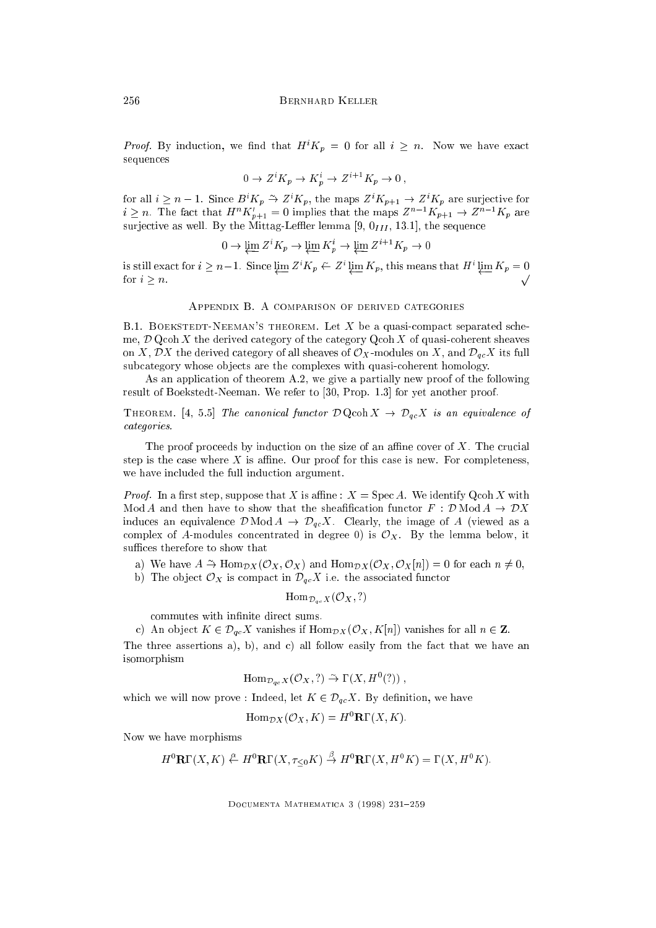*Proof.* By induction, we find that  $H^{i}K_{p} = 0$  for all  $i \geq n$ . Now we have exact sequences

$$
0 \to Z^i K_p \to K_p^i \to Z^{i+1} K_p \to 0 ,
$$

for all  $i \geq n-1$ . Since  $B^*K_p \to Z^*K_p$ , the maps  $Z^*K_{p+1} \to Z^*K_p$  are surjective for  $i \geq n$ . The fact that  $H^{\circ} \Lambda_{p+1} = 0$  implies that the maps  $Z^{\circ} \cap \Lambda_{p+1} \to Z^{\circ} \cap \Lambda_p$  are surjective as well. By the Mittag-Leffler lemma [9,  $0_{III}$ , 13.1], the sequence

$$
0 \to \varprojlim Z^i K_p \to \varprojlim K_p^i \to \varprojlim Z^{i+1} K_p \to 0
$$

is still exact for  $i \geq n-1$ . Since  $\varprojlim Z^*K_p \leftarrow Z^* \varprojlim K_p$ , this means that  $H^* \varprojlim K_p = 0$ for  $i > n$ .

## Appendix B. A comparison of derived categories

B.1. BOEKSTEDT-NEEMAN'S THEOREM. Let  $X$  be a quasi-compact separated scheme,  $\mathcal D$  Qcoh X the derived category of the category Qcoh X of quasi-coherent sheaves on X, DX the derived category of all sheaves of  $\mathcal{O}_X$ -modules on X, and  $\mathcal{D}_{qc}$ X its full subcategory whose objects are the complexes with quasi-coherent homology.

As an application of theorem A.2, we give a partially new proof of the following result of Boekstedt-Neeman. We refer to [30, Prop. 1.3] for yet another proof.

THEOREM. [4, 5.5] The canonical functor  $\mathcal{D} \operatorname{Qcoh} X \to \mathcal{D}_{qc} X$  is an equivalence of categories.

The proof proceeds by induction on the size of an affine cover of  $X$ . The crucial step is the case where X is affine. Our proof for this case is new. For completeness, we have included the full induction argument.

*Proof.* In a first step, suppose that X is affine :  $X = \text{Spec } A$ . We identify  $\text{Qcoh } X$  with Mod A and then have to show that the sheafification functor  $F : \mathcal{D} \text{Mod } A \to \mathcal{D}X$ induces an equivalence  $\mathcal{D}$  Mod  $A \rightarrow \mathcal{D}_{qc}X$ . Clearly, the image of A (viewed as a complex of A-modules concentrated in degree 0) is  $\mathcal{O}_X$ . By the lemma below, it suffices therefore to show that

- a) We have  $A \to \text{Hom}_{\mathcal{D}X}(\mathcal{O}_X, \mathcal{O}_X)$  and  $\text{Hom}_{\mathcal{D}X}(\mathcal{O}_X, \mathcal{O}_X|n|) = 0$  for each  $n \neq 0$ ,
- b) The object  $\mathcal{O}_X$  is compact in  $\mathcal{D}_{qc}X$  i.e. the associated functor

$$
\mathrm{Hom}_{\mathcal{D}_{qc}X}(\mathcal{O}_X, ?)
$$

commutes with infinite direct sums.

c) An object  $K \in \mathcal{D}_{qc}X$  vanishes if  $\text{Hom}_{\mathcal{D}X}(\mathcal{O}_X, K[n])$  vanishes for all  $n \in \mathbb{Z}$ . The three assertions a), b), and c) all follow easily from the fact that we have an isomorphism

$$
\mathrm{Hom}_{\mathcal{D}_{qc}X}(\mathcal{O}_X, ?) \stackrel{\sim}{\rightarrow} \Gamma(X, H^0(?)),
$$

which we will now prove : Indeed, let  $K \in \mathcal{D}_{qc}X$ . By definition, we have

 $\operatorname{Hom}_{\mathcal{D}X}(\mathcal{O}_X, K) = H^0 \mathbf{R} \Gamma(X, K).$ 

Now we have morphisms

$$
H^0\mathbf{R}\Gamma(X,K) \stackrel{\alpha}{\leftarrow} H^0\mathbf{R}\Gamma(X,\tau_{\leq 0}K) \stackrel{\beta}{\rightarrow} H^0\mathbf{R}\Gamma(X,H^0K) = \Gamma(X,H^0K).
$$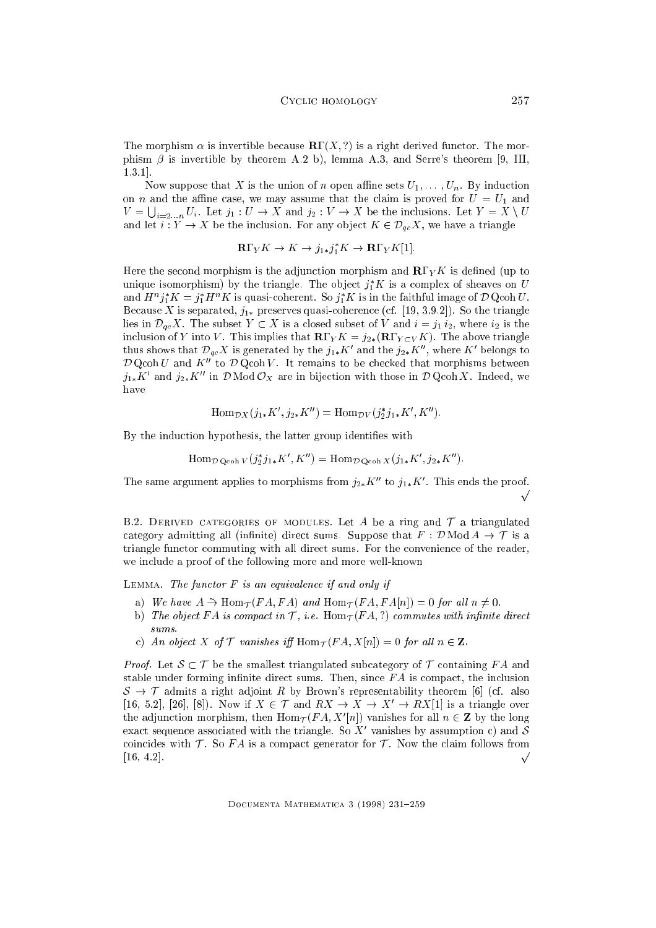The morphism  $\alpha$  is invertible because  $\mathbb{R}\Gamma(X, ?)$  is a right derived functor. The morphism  $\beta$  is invertible by theorem A.2 b), lemma A.3, and Serre's theorem [9, III, 1.3.1].

Now suppose that X is the union of n open affine sets  $U_1, \ldots, U_n$ . By induction on *n* and the affine case, we may assume that the claim is proved for  $U = U_1$  and  $V = \bigcup_{i=2...n} U_i$ . Let  $j_1: U \to X$  and  $j_2: V \to X$  be the inclusions. Let  $Y = X \setminus U$ and let  $i: Y \to X$  be the inclusion. For any object  $K \in \mathcal{D}_{ac}X$ , we have a triangle

$$
\mathbf{R}\Gamma_Y K \to K \to j_{1*}j_1^*K \to \mathbf{R}\Gamma_Y K[1].
$$

Here the second morphism is the adjunction morphism and  $\mathbb{R}\Gamma_Y K$  is defined (up to unique isomorphism) by the triangle. The object  $j_1$   $\kappa$  is a complex of sheaves on  $U$ and  $H^*j_1K=j_1H^*K$  is quasi-coherent. So  $j_1K$  is in the faithful image of D Qcoh U . Because X is separated,  $j_{1*}$  preserves quasi-coherence (cf. [19, 3.9.2]). So the triangle lies in  $\mathcal{D}_{qc}X$ . The subset  $Y \subset X$  is a closed subset of V and  $i = j_1 i_2$ , where  $i_2$  is the inclusion of Y into V. This implies that  $\mathbf{R}\Gamma_Y K = j_{2*}(\mathbf{R}\Gamma_{Y\subset V} K)$ . The above triangle thus shows that  $\mathcal{D}_{gc}\Lambda$  is generated by the  $j_{1*}\Lambda$  and the  $j_{2*}\Lambda$  , where  $\Lambda$  belongs to  $\mathcal D$  Qcoh U and  $K^{\prime\prime}$  to  $\mathcal D$  Qcoh V. It remains to be checked that morphisms between  $j_{1*}\kappa$  and  $j_{2*}\kappa$  in D mod  $\cup_X$  are in bijection with those in D Qcon  $\lambda$ . Indeed, we have

$$
\operatorname{Hom}_{\mathcal{D}X}(j_{1*}K', j_{2*}K'') = \operatorname{Hom}_{\mathcal{D}V}(j_2^*j_{1*}K', K'').
$$

By the induction hypothesis, the latter group identifies with

$$
\text{Hom}_{\mathcal{D}Q\text{coh }V}(j_2^*j_{1*}K', K'') = \text{Hom}_{\mathcal{D}Q\text{coh }X}(j_{1*}K', j_{2*}K'').
$$

The same argument applies to morphisms from  $j_{2*}$  $\Lambda$  to  $j_{1*}\Lambda$ . This ends the proof.  $\sqrt{ }$ 

B.2. DERIVED CATEGORIES OF MODULES. Let A be a ring and  $\mathcal T$  a triangulated category admitting all (infinite) direct sums. Suppose that  $F : \mathcal{D} \text{Mod } A \to \mathcal{T}$  is a triangle functor commuting with all direct sums. For the convenience of the reader, we include a proof of the following more and more well-known

LEMMA. The functor  $F$  is an equivalence if and only if

- a) We have  $A \to \text{Hom}_{\mathcal{T}}(FA, FA)$  and  $\text{Hom}_{\mathcal{T}}(FA, FA|n|) = 0$  for all  $n \neq 0$ .
- b) The object FA is compact in  $\mathcal{T}$ , i.e. Hom  $_{\mathcal{T}}(FA,?)$  commutes with infinite direct  $sums$
- c) An object X of  $\mathcal T$  vanishes iff  $\text{Hom}_{\mathcal T}(FA, X[n]) = 0$  for all  $n \in \mathbb Z$ .

*Proof.* Let  $S \subset T$  be the smallest triangulated subcategory of T containing FA and stable under forming infinite direct sums. Then, since  $FA$  is compact, the inclusion  $S \rightarrow \mathcal{T}$  admits a right adjoint R by Brown's representability theorem [6] (cf. also [16, 5.2], [26], [8]). Now if  $X \in \mathcal{T}$  and  $RX \to X \to X' \to RX[1]$  is a triangle over the adjunction morphism, then  $\min_{\mathcal{T}}(FA, X||n|)$  vanishes for all  $n \in \mathbb{Z}$  by the long exact sequence associated with the triangle. So  $\Lambda^-$  vanishes by assumption c) and  $\mathcal S$ coincides with  $\mathcal T$ . So FA is a compact generator for  $\mathcal T$ . Now the claim follows from  $[16, 4.2]$ .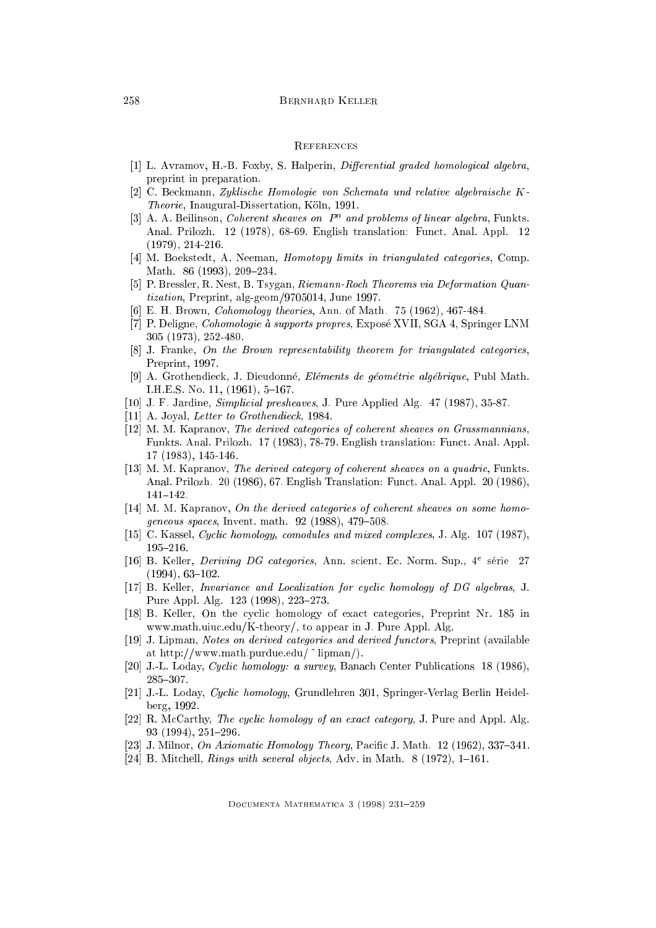## 258 Bernhard Keller

#### **REFERENCES**

- [1] L. Avramov, H.-B. Foxby, S. Halperin, *Differential graded homological algebra*, preprint in preparation.
- [2] C. Beckmann, Zyklische Homologie von Schemata und relative algebraische K-Theorie, Inaugural-Dissertation, Köln, 1991.
- $[5]$  A. A. Beilinson, Coherent sheaves on  $P^*$  and problems of unear algebra, Funkts. Anal. Prilozh. 12 (1978), 68-69. English translation: Funct. Anal. Appl. 12 (1979), 214-216.
- [4] M. Boekstedt, A. Neeman, Homotopy limits in triangulated categories, Comp. Math. 86 (1993), 209-234.
- [5] P. Bressler, R. Nest, B. Tsygan, Riemann-Roch Theorems via Deformation Quantization, Preprint, alg-geom/9705014, June 1997.
- [6] E. H. Brown, Cohomology theories, Ann. of Math. 75 (1962), 467-484.
- [7] P. Deligne, Cohomologie a supports propres, Expose XVII, SGA 4, Springer LNM 305 (1973), 252-480.
- [8] J. Franke, On the Brown representability theorem for triangulated categories, Preprint, 1997.
- [9] A. Grothendieck, J. Dieudonne, Elements de geometrie algebrique, Publ Math. I.H.E.S. No. 11,  $(1961)$ , 5-167.
- [10] J. F. Jardine, Simplicial presheaves, J. Pure Applied Alg. 47 (1987), 35-87.
- [11] A. Joyal, *Letter to Grothendieck*, 1984.
- [12] M. M. Kapranov, The derived categories of coherent sheaves on Grassmannians, Funkts. Anal. Prilozh. 17 (1983), 78-79. English translation: Funct. Anal. Appl. 17 (1983), 145-146.
- [13] M. M. Kapranov, The derived category of coherent sheaves on a quadric, Funkts. Anal. Prilozh. 20 (1986), 67. English Translation: Funct. Anal. Appl. 20 (1986),  $141 - 142$ .
- [14] M. M. Kapranov, On the derived categories of coherent sheaves on some homogeneous spaces, Invent. math.  $92$  (1988), 479-508.
- [15] C. Kassel, Cyclic homology, comodules and mixed complexes, J. Alg. 107 (1987), 195{216.
- $[10]$  B. Keller, *Deriving DG categories*, Ann. scient. Ec. Norm. Sup., 4<sup>-</sup> serie 27  $(1994), 63-102.$
- [17] B. Keller, Invariance and Localization for cyclic homology of DG algebras, J. Pure Appl. Alg. 123 (1998), 223-273.
- [18] B. Keller, On the cyclic homology of exact categories, Preprint Nr. 185 in www.math.uiuc.edu/K-theory/, to appear in J. Pure Appl. Alg.
- [19] J. Lipman, Notes on derived categories and derived functors, Preprint (available at http://www.math.purdue.edu/ ~ lipman/).
- [20] J.-L. Loday, Cyclic homology: a survey, Banach Center Publications 18 (1986), 285-307.
- [21] J.-L. Loday, Cyclic homology, Grundlehren 301, Springer-Verlag Berlin Heidelberg, 1992.
- [22] R. McCarthy, The cyclic homology of an exact category, J. Pure and Appl. Alg.  $93$  (1994),  $251-296$ .
- [23] J. Milnor,  $\overline{O}n$  Axiomatic Homology Theory, Pacific J. Math. 12 (1962), 337–341.
- [24] B. Mitchell, Rings with several objects, Adv. in Math.  $8(1972)$ , 1-161.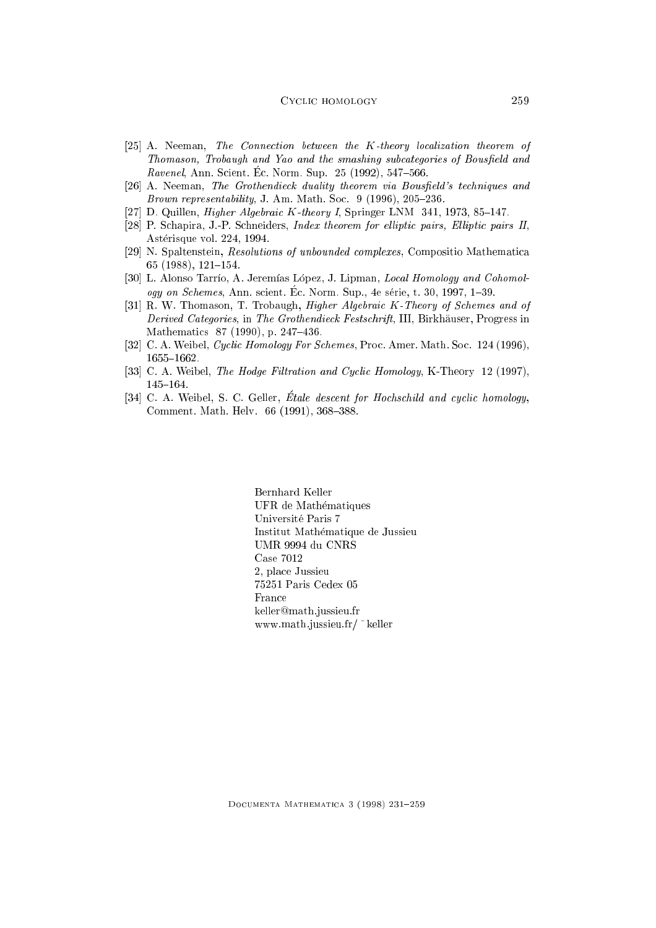#### CYCLIC HOMOLOGY 259

- [25] A. Neeman, The Connection between the K-theory localization theorem of Thomason, Trobaugh and Yao and the smashing subcategories of Bousfield and Ravenel, Ann. Scient. Ec. Norm. Sup.  $25$  (1992),  $547-566$ .
- [26] A. Neeman, The Grothendieck duality theorem via Bousfield's techniques and Brown representability, J. Am. Math. Soc.  $9(1996), 205-236$ .
- [27] D. Quillen, *Higher Algebraic K-theory I*, Springer LNM  $341, 1973, 85-147$ .
- [28] P. Schapira, J.-P. Schneiders, *Index theorem for elliptic pairs, Elliptic pairs II*, Asterisque vol. 224, 1994.
- [29] N. Spaltenstein, Resolutions of unbounded complexes, Compositio Mathematica 65 (1988),  $121-154$ .
- [30] L. Alonso Tarrío, A. Jeremías López, J. Lipman, Local Homology and Cohomology on Schemes, Ann. scient. Ec. Norm. Sup., 4e série, t. 30, 1997, 1-39.
- [31] R. W. Thomason, T. Trobaugh, Higher Algebraic K-Theory of Schemes and of Derived Categories, in The Grothendieck Festschrift, III, Birkhäuser, Progress in Mathematics 87 (1990), p. 247-436.
- [32] C. A. Weibel, Cyclic Homology For Schemes, Proc. Amer. Math. Soc. 124 (1996), 1655-1662.
- [33] C. A. Weibel, *The Hodge Filtration and Cyclic Homology*, K-Theory 12 (1997), 145-164.
- [34] C. A. Weibel, S. C. Geller, Étale descent for Hochschild and cyclic homology, Comment. Math. Helv. 66 (1991), 368-388.

Bernhard Keller UFR de Mathematiques Universite Paris 7 Institut Mathematique de Jussieu UMR 9994 du CNRS Case 7012 2, place Jussieu 75251 Paris Cedex 05 France keller@math.jussieu.fr www.math.jussieu.fr/ ~ keller